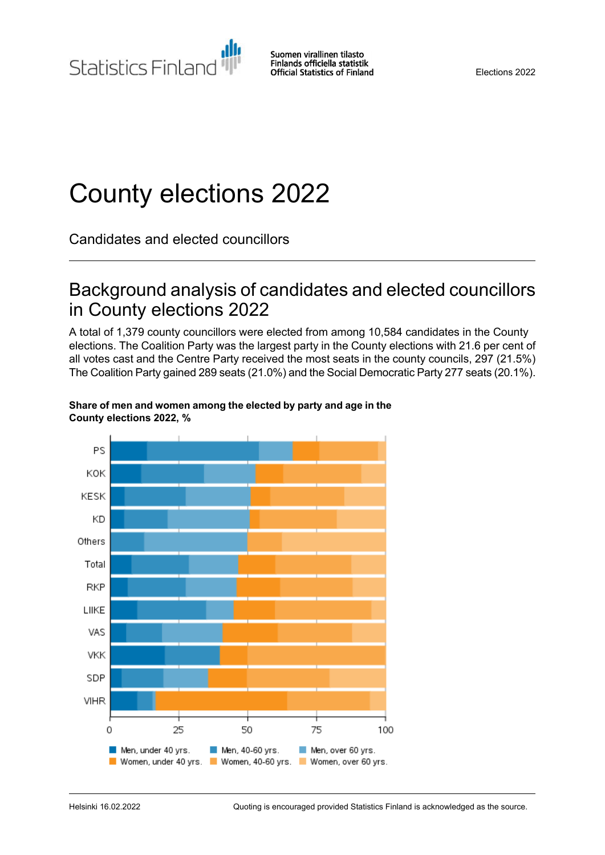Statistics Finland

# County elections 2022

Candidates and elected councillors

## Background analysis of candidates and elected councillors in County elections 2022

A total of 1,379 county councillors were elected from among 10,584 candidates in the County elections. The Coalition Party was the largest party in the County elections with 21.6 per cent of all votes cast and the Centre Party received the most seats in the county councils, 297 (21.5%) The Coalition Party gained 289 seats (21.0%) and the Social Democratic Party 277 seats (20.1%).



#### **Share of men and women among the elected by party and age in the County elections 2022, %**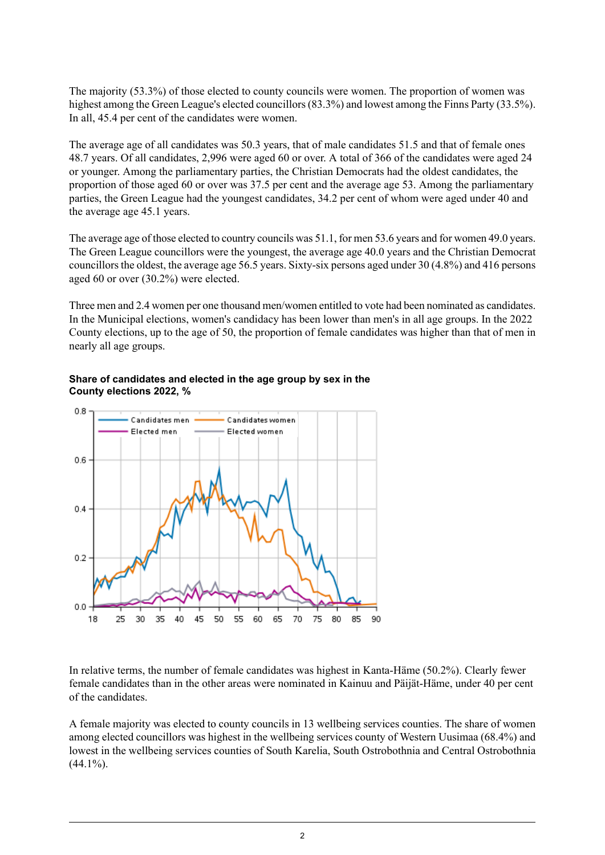The majority (53.3%) of those elected to county councils were women. The proportion of women was highest among the Green League's elected councillors(83.3%) and lowest among the Finns Party (33.5%). In all, 45.4 per cent of the candidates were women.

The average age of all candidates was 50.3 years, that of male candidates 51.5 and that of female ones 48.7 years. Of all candidates, 2,996 were aged 60 or over. A total of 366 of the candidates were aged 24 or younger. Among the parliamentary parties, the Christian Democrats had the oldest candidates, the proportion of those aged 60 or over was 37.5 per cent and the average age 53. Among the parliamentary parties, the Green League had the youngest candidates, 34.2 per cent of whom were aged under 40 and the average age 45.1 years.

The average age of those elected to country councils was 51.1, for men 53.6 years and for women 49.0 years. The Green League councillors were the youngest, the average age 40.0 years and the Christian Democrat councillors the oldest, the average age 56.5 years. Sixty-six persons aged under 30 (4.8%) and 416 persons aged 60 or over (30.2%) were elected.

Three men and 2.4 women per one thousand men/women entitled to vote had been nominated as candidates. In the Municipal elections, women's candidacy has been lower than men's in all age groups. In the 2022 County elections, up to the age of 50, the proportion of female candidates was higher than that of men in nearly all age groups.



#### **Share of candidates and elected in the age group by sex in the County elections 2022, %**

In relative terms, the number of female candidates was highest in Kanta-Häme (50.2%). Clearly fewer female candidates than in the other areas were nominated in Kainuu and Päijät-Häme, under 40 per cent of the candidates.

A female majority was elected to county councils in 13 wellbeing services counties. The share of women among elected councillors was highest in the wellbeing services county of Western Uusimaa (68.4%) and lowest in the wellbeing services counties of South Karelia, South Ostrobothnia and Central Ostrobothnia  $(44.1\%)$ .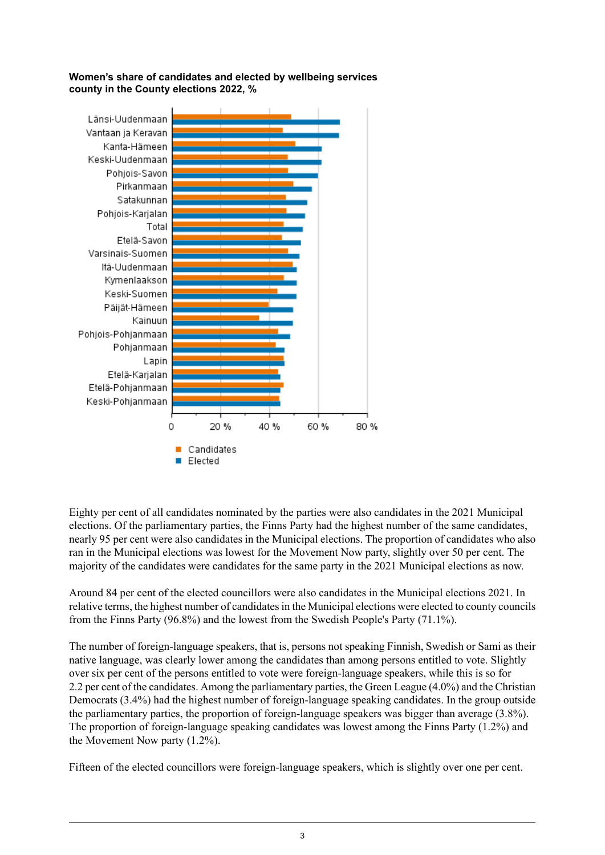**Women's share of candidates and elected by wellbeing services county in the County elections 2022, %**



Eighty per cent of all candidates nominated by the parties were also candidates in the 2021 Municipal elections. Of the parliamentary parties, the Finns Party had the highest number of the same candidates, nearly 95 per cent were also candidates in the Municipal elections. The proportion of candidates who also ran in the Municipal elections was lowest for the Movement Now party, slightly over 50 per cent. The majority of the candidates were candidates for the same party in the 2021 Municipal elections as now.

Around 84 per cent of the elected councillors were also candidates in the Municipal elections 2021. In relative terms, the highest number of candidatesin the Municipal elections were elected to county councils from the Finns Party (96.8%) and the lowest from the Swedish People's Party (71.1%).

The number of foreign-language speakers, that is, persons not speaking Finnish, Swedish or Sami as their native language, was clearly lower among the candidates than among persons entitled to vote. Slightly over six per cent of the persons entitled to vote were foreign-language speakers, while this is so for 2.2 per cent of the candidates. Among the parliamentary parties, the Green League (4.0%) and the Christian Democrats (3.4%) had the highest number of foreign-language speaking candidates. In the group outside the parliamentary parties, the proportion of foreign-language speakers was bigger than average (3.8%). The proportion of foreign-language speaking candidates was lowest among the Finns Party (1.2%) and the Movement Now party (1.2%).

Fifteen of the elected councillors were foreign-language speakers, which is slightly over one per cent.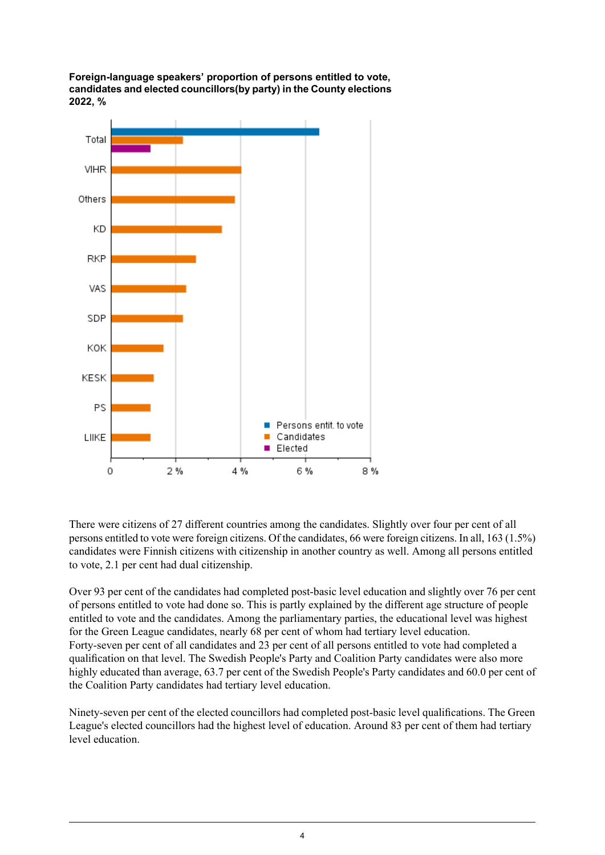**Foreign-language speakers' proportion of persons entitled to vote, candidates and elected councillors(by party) in the County elections 2022, %**



There were citizens of 27 different countries among the candidates. Slightly over four per cent of all persons entitled to vote were foreign citizens. Of the candidates, 66 were foreign citizens. In all, 163 (1.5%) candidates were Finnish citizens with citizenship in another country as well. Among all persons entitled to vote, 2.1 per cent had dual citizenship.

Over 93 per cent of the candidates had completed post-basic level education and slightly over 76 per cent of persons entitled to vote had done so. This is partly explained by the different age structure of people entitled to vote and the candidates. Among the parliamentary parties, the educational level was highest for the Green League candidates, nearly 68 per cent of whom had tertiary level education. Forty-seven per cent of all candidates and 23 per cent of all persons entitled to vote had completed a qualification on that level. The Swedish People's Party and Coalition Party candidates were also more highly educated than average, 63.7 per cent of the Swedish People's Party candidates and 60.0 per cent of the Coalition Party candidates had tertiary level education.

Ninety-seven per cent of the elected councillors had completed post-basic level qualifications. The Green League's elected councillors had the highest level of education. Around 83 per cent of them had tertiary level education.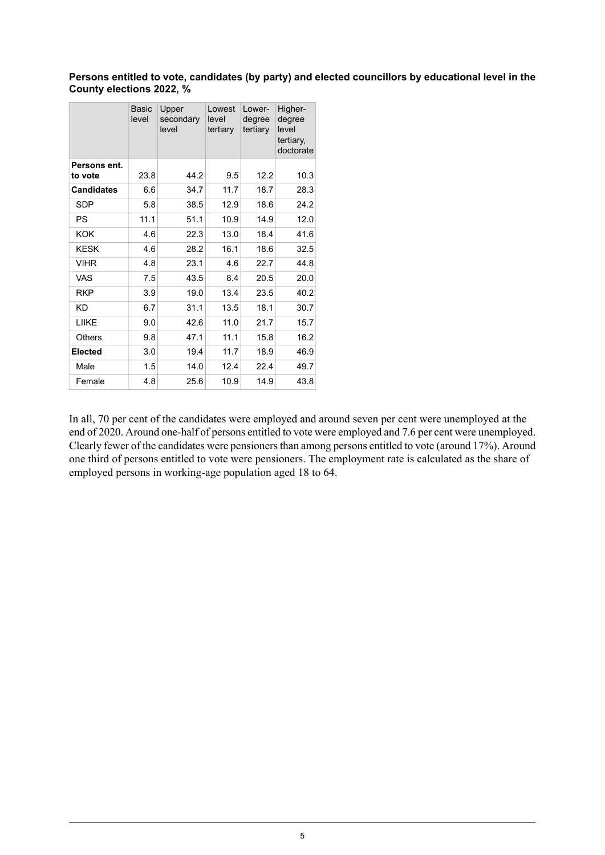**Persons entitled to vote, candidates (by party) and elected councillors by educational level in the County elections 2022, %**

|                         | <b>Basic</b><br>level | Upper<br>secondary<br>level | Lowest<br>level<br>tertiary | Lower-<br>degree<br>tertiary | Higher-<br>degree<br>level<br>tertiary,<br>doctorate |
|-------------------------|-----------------------|-----------------------------|-----------------------------|------------------------------|------------------------------------------------------|
| Persons ent.<br>to vote | 23.8                  | 44.2                        | 9.5                         | 12.2                         | 10.3                                                 |
| <b>Candidates</b>       | 6.6                   | 34.7                        | 11.7                        | 18.7                         | 28.3                                                 |
| <b>SDP</b>              | 5.8                   | 38.5                        | 12.9                        | 18.6                         | 24.2                                                 |
| PS                      | 11.1                  | 51.1                        | 10.9                        | 14.9                         | 12.0                                                 |
| <b>KOK</b>              | 4.6                   | 22.3                        | 13.0                        | 18.4                         | 41.6                                                 |
| <b>KESK</b>             | 4.6                   | 28.2                        | 16.1                        | 18.6                         | 32.5                                                 |
| <b>VIHR</b>             | 4.8                   | 23.1                        | 4.6                         | 22.7                         | 44.8                                                 |
| <b>VAS</b>              | 7.5                   | 43.5                        | 8.4                         | 20.5                         | 20.0                                                 |
| <b>RKP</b>              | 3.9                   | 19.0                        | 13.4                        | 23.5                         | 40.2                                                 |
| <b>KD</b>               | 6.7                   | 31.1                        | 13.5                        | 18.1                         | 30.7                                                 |
| LIIKE                   | 9.0                   | 42.6                        | 11.0                        | 21.7                         | 15.7                                                 |
| <b>Others</b>           | 9.8                   | 47.1                        | 11.1                        | 15.8                         | 16.2                                                 |
| <b>Elected</b>          | 3.0                   | 19.4                        | 11.7                        | 18.9                         | 46.9                                                 |
| Male                    | 1.5                   | 14.0                        | 12.4                        | 22.4                         | 49.7                                                 |
| Female                  | 4.8                   | 25.6                        | 10.9                        | 14.9                         | 43.8                                                 |

In all, 70 per cent of the candidates were employed and around seven per cent were unemployed at the end of 2020. Around one-half of persons entitled to vote were employed and 7.6 per cent were unemployed. Clearly fewer of the candidates were pensioners than among persons entitled to vote (around 17%). Around one third of persons entitled to vote were pensioners. The employment rate is calculated as the share of employed persons in working-age population aged 18 to 64.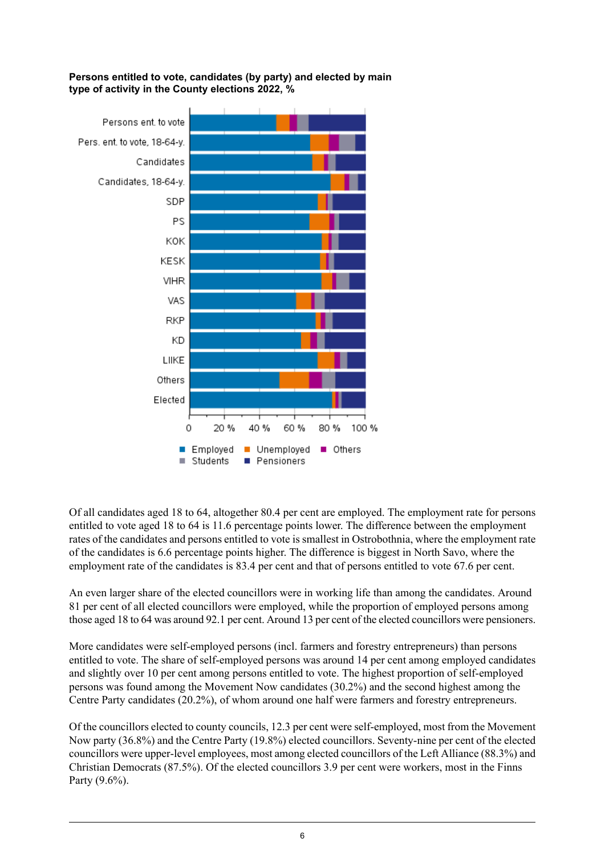**Persons entitled to vote, candidates (by party) and elected by main type of activity in the County elections 2022, %**



Of all candidates aged 18 to 64, altogether 80.4 per cent are employed. The employment rate for persons entitled to vote aged 18 to 64 is 11.6 percentage points lower. The difference between the employment rates of the candidates and persons entitled to vote is smallest in Ostrobothnia, where the employment rate of the candidates is 6.6 percentage points higher. The difference is biggest in North Savo, where the employment rate of the candidates is 83.4 per cent and that of persons entitled to vote 67.6 per cent.

An even larger share of the elected councillors were in working life than among the candidates. Around 81 per cent of all elected councillors were employed, while the proportion of employed persons among those aged 18 to 64 was around 92.1 per cent. Around 13 per cent of the elected councillors were pensioners.

More candidates were self-employed persons (incl. farmers and forestry entrepreneurs) than persons entitled to vote. The share of self-employed persons was around 14 per cent among employed candidates and slightly over 10 per cent among persons entitled to vote. The highest proportion of self-employed persons was found among the Movement Now candidates (30.2%) and the second highest among the Centre Party candidates (20.2%), of whom around one half were farmers and forestry entrepreneurs.

Of the councillors elected to county councils, 12.3 per cent were self-employed, most from the Movement Now party (36.8%) and the Centre Party (19.8%) elected councillors. Seventy-nine per cent of the elected councillors were upper-level employees, most among elected councillors of the Left Alliance (88.3%) and Christian Democrats (87.5%). Of the elected councillors 3.9 per cent were workers, most in the Finns Party (9.6%).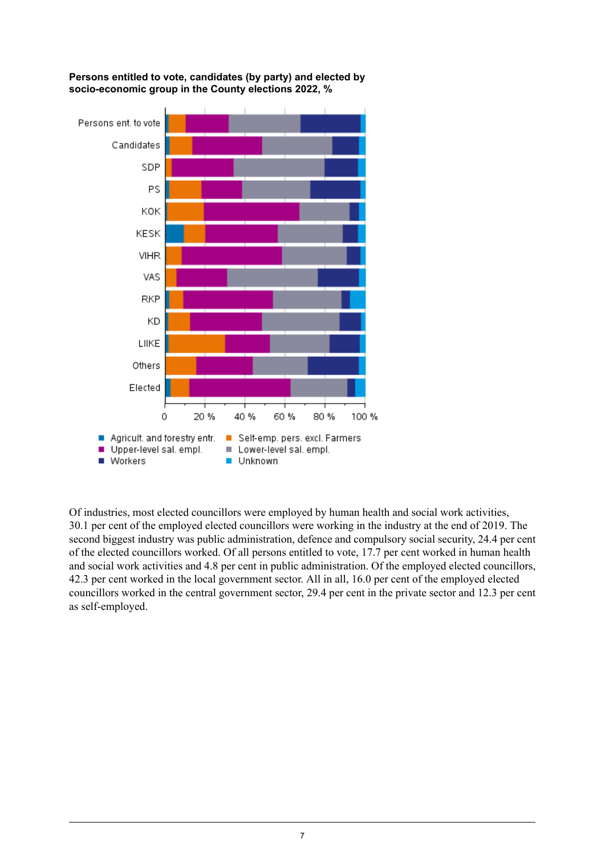

**Persons entitled to vote, candidates (by party) and elected by socio-economic group in the County elections 2022, %**

Of industries, most elected councillors were employed by human health and social work activities, 30.1 per cent of the employed elected councillors were working in the industry at the end of 2019. The second biggest industry was public administration, defence and compulsory social security, 24.4 per cent of the elected councillors worked. Of all persons entitled to vote, 17.7 per cent worked in human health and social work activities and 4.8 per cent in public administration. Of the employed elected councillors, 42.3 per cent worked in the local government sector. All in all, 16.0 per cent of the employed elected councillors worked in the central government sector, 29.4 per cent in the private sector and 12.3 per cent as self-employed.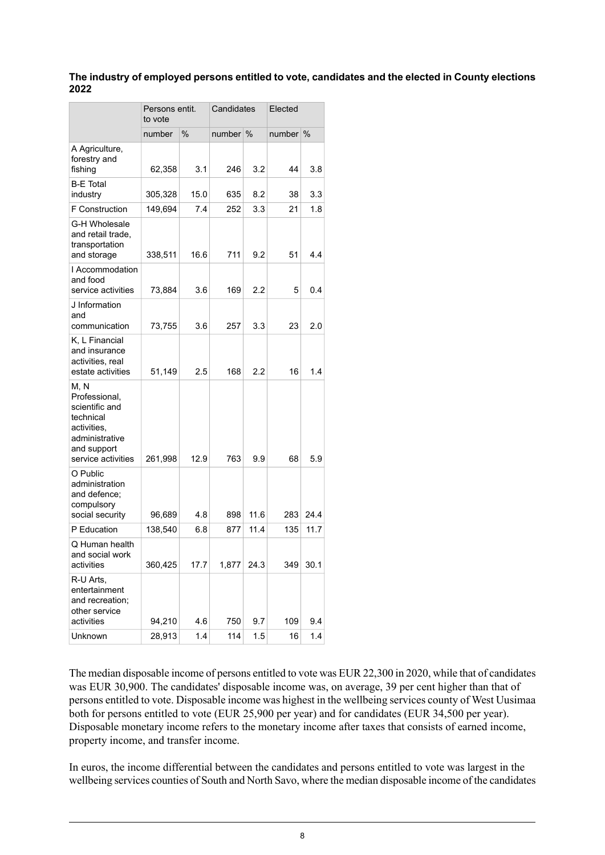#### **The industry of employed persons entitled to vote, candidates and the elected in County elections 2022**

|                                                                                                                            | Persons entit.<br>to vote |      | Candidates |      | Elected |      |
|----------------------------------------------------------------------------------------------------------------------------|---------------------------|------|------------|------|---------|------|
|                                                                                                                            | number                    | $\%$ | number     | $\%$ | number  | %    |
| A Agriculture,<br>forestry and<br>fishing                                                                                  | 62,358                    | 3.1  | 246        | 3.2  | 44      | 3.8  |
| <b>B-E</b> Total<br>industry                                                                                               | 305,328                   | 15.0 | 635        | 8.2  | 38      | 3.3  |
| F Construction                                                                                                             | 149,694                   | 7.4  | 252        | 3.3  | 21      | 1.8  |
| G-H Wholesale<br>and retail trade,<br>transportation<br>and storage                                                        | 338,511                   | 16.6 | 711        | 9.2  | 51      | 4.4  |
| I Accommodation<br>and food<br>service activities                                                                          | 73,884                    | 3.6  | 169        | 2.2  | 5       | 0.4  |
| J Information<br>and<br>communication                                                                                      | 73,755                    | 3.6  | 257        | 3.3  | 23      | 2.0  |
| K, L Financial<br>and insurance<br>activities, real<br>estate activities                                                   | 51,149                    | 2.5  | 168        | 2.2  | 16      | 1.4  |
| M, N<br>Professional,<br>scientific and<br>technical<br>activities,<br>administrative<br>and support<br>service activities | 261,998                   | 12.9 | 763        | 9.9  | 68      | 5.9  |
| O Public<br>administration<br>and defence:<br>compulsory<br>social security                                                | 96,689                    | 4.8  | 898        | 11.6 | 283     | 24.4 |
| P Education                                                                                                                | 138,540                   | 6.8  | 877        | 11.4 | 135     | 11.7 |
| Q Human health<br>and social work<br>activities                                                                            | 360,425                   | 17.7 | 1,877      | 24.3 | 349     | 30.1 |
| R-U Arts,<br>entertainment<br>and recreation;<br>other service<br>activities                                               | 94,210                    | 4.6  | 750        | 9.7  | 109     | 9.4  |
| Unknown                                                                                                                    | 28,913                    | 1.4  | 114        | 1.5  | 16      | 1.4  |

The median disposable income of persons entitled to vote was EUR 22,300 in 2020, while that of candidates was EUR 30,900. The candidates' disposable income was, on average, 39 per cent higher than that of persons entitled to vote. Disposable income was highest in the wellbeing services county of West Uusimaa both for persons entitled to vote (EUR 25,900 per year) and for candidates (EUR 34,500 per year). Disposable monetary income refers to the monetary income after taxes that consists of earned income, property income, and transfer income.

In euros, the income differential between the candidates and persons entitled to vote was largest in the wellbeing services counties of South and North Savo, where the median disposable income of the candidates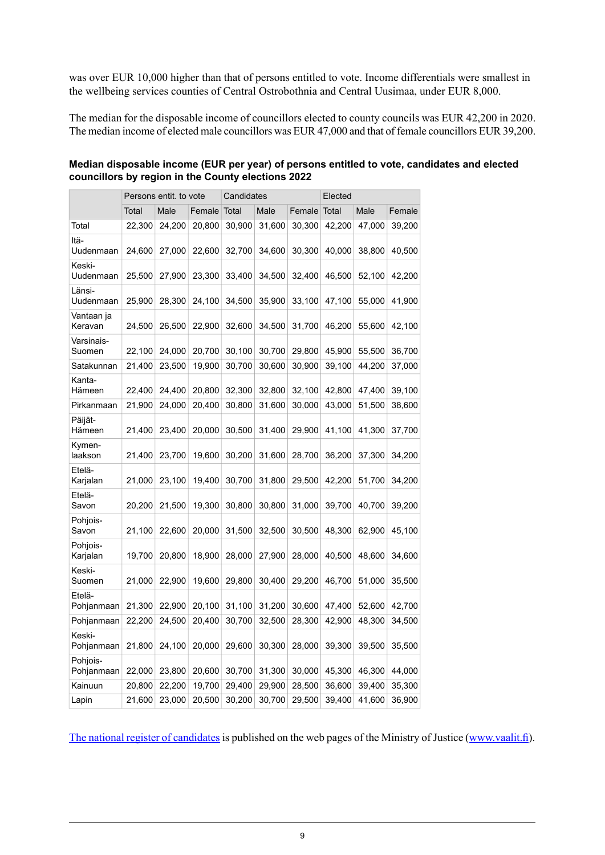was over EUR 10,000 higher than that of persons entitled to vote. Income differentials were smallest in the wellbeing services counties of Central Ostrobothnia and Central Uusimaa, under EUR 8,000.

The median for the disposable income of councillors elected to county councils was EUR 42,200 in 2020. The median income of elected male councillors was EUR 47,000 and that of female councillors EUR 39,200.

|                        |        | Persons entit. to vote |        | Candidates |        |        | Elected       |        |        |  |
|------------------------|--------|------------------------|--------|------------|--------|--------|---------------|--------|--------|--|
|                        | Total  | Male                   | Female | Total      | Male   | Female | Total<br>Male |        | Female |  |
| Total                  | 22,300 | 24,200                 | 20,800 | 30,900     | 31,600 | 30,300 | 42,200        | 47,000 | 39,200 |  |
| Itä-<br>Uudenmaan      | 24,600 | 27,000                 | 22,600 | 32,700     | 34,600 | 30,300 | 40,000        | 38,800 | 40,500 |  |
| Keski-<br>Uudenmaan    | 25,500 | 27,900                 | 23,300 | 33,400     | 34,500 | 32,400 | 46,500        | 52,100 | 42,200 |  |
| Länsi-<br>Uudenmaan    | 25,900 | 28,300                 | 24,100 | 34,500     | 35,900 | 33,100 | 47,100        | 55,000 | 41,900 |  |
| Vantaan ja<br>Keravan  | 24,500 | 26,500                 | 22,900 | 32,600     | 34,500 | 31,700 | 46,200        | 55,600 | 42,100 |  |
| Varsinais-<br>Suomen   | 22,100 | 24,000                 | 20,700 | 30,100     | 30,700 | 29,800 | 45,900        | 55,500 | 36,700 |  |
| Satakunnan             | 21,400 | 23,500                 | 19,900 | 30,700     | 30,600 | 30,900 | 39,100        | 44,200 | 37,000 |  |
| Kanta-<br>Hämeen       | 22,400 | 24,400                 | 20,800 | 32,300     | 32,800 | 32,100 | 42,800        | 47,400 | 39,100 |  |
| Pirkanmaan             | 21,900 | 24,000                 | 20,400 | 30,800     | 31,600 | 30,000 | 43,000        | 51,500 | 38,600 |  |
| Päijät-<br>Hämeen      | 21,400 | 23,400                 | 20,000 | 30,500     | 31,400 | 29,900 | 41,100        | 41,300 | 37,700 |  |
| Kymen-<br>laakson      | 21,400 | 23,700                 | 19,600 | 30,200     | 31,600 | 28,700 | 36,200        | 37,300 | 34,200 |  |
| Etelä-<br>Karjalan     | 21,000 | 23,100                 | 19,400 | 30,700     | 31,800 | 29,500 | 42,200        | 51,700 | 34,200 |  |
| Etelä-<br>Savon        | 20,200 | 21,500                 | 19,300 | 30,800     | 30,800 | 31,000 | 39,700        | 40,700 | 39,200 |  |
| Pohjois-<br>Savon      | 21,100 | 22,600                 | 20,000 | 31,500     | 32,500 | 30,500 | 48,300        | 62,900 | 45,100 |  |
| Pohjois-<br>Karjalan   | 19,700 | 20,800                 | 18,900 | 28,000     | 27,900 | 28,000 | 40,500        | 48,600 | 34,600 |  |
| Keski-<br>Suomen       | 21,000 | 22,900                 | 19,600 | 29,800     | 30,400 | 29,200 | 46,700        | 51,000 | 35,500 |  |
| Etelä-<br>Pohjanmaan   | 21,300 | 22,900                 | 20,100 | 31,100     | 31,200 | 30,600 | 47,400        | 52,600 | 42,700 |  |
| Pohjanmaan             | 22,200 | 24,500                 | 20,400 | 30,700     | 32,500 | 28,300 | 42,900        | 48,300 | 34,500 |  |
| Keski-<br>Pohjanmaan   | 21,800 | 24,100                 | 20,000 | 29,600     | 30,300 | 28,000 | 39,300        | 39,500 | 35,500 |  |
| Pohjois-<br>Pohjanmaan | 22,000 | 23,800                 | 20,600 | 30,700     | 31,300 | 30,000 | 45,300        | 46,300 | 44,000 |  |
| Kainuun                | 20,800 | 22,200                 | 19,700 | 29,400     | 29,900 | 28,500 | 36,600        | 39,400 | 35,300 |  |
| Lapin                  | 21,600 | 23,000                 | 20,500 | 30,200     | 30,700 | 29,500 | 39,400        | 41,600 | 36,900 |  |

#### **Median disposable income (EUR per year) of persons entitled to vote, candidates and elected councillors by region in the County elections 2022**

The national register of [candidates](https://tulospalvelu.vaalit.fi/AV-2022/en/ehd_listat_kokomaa.htm) is published on the web pages of the Ministry of Justice ([www.vaalit.fi](http://www.vaalit.fi)).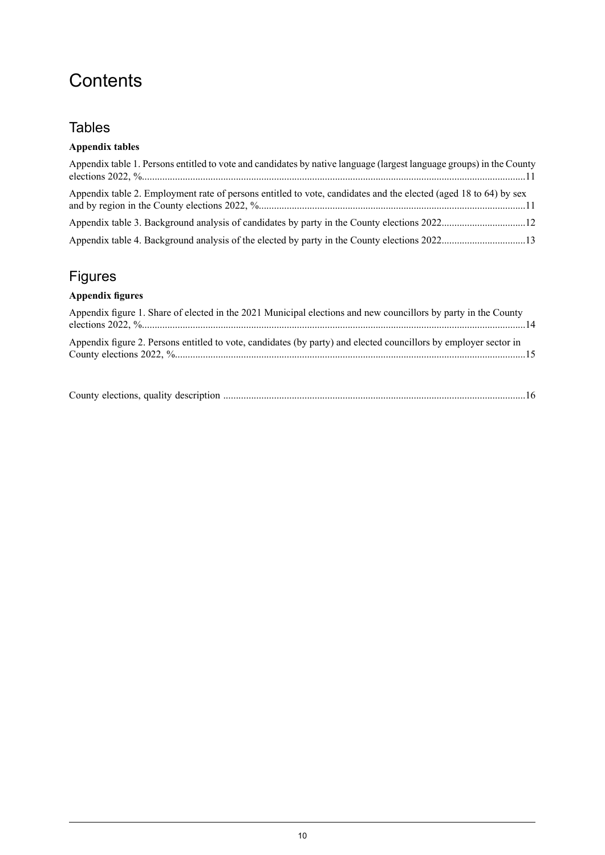## **Contents**

## **Tables**

### **Appendix tables**

| Appendix table 1. Persons entitled to vote and candidates by native language (largest language groups) in the County |  |
|----------------------------------------------------------------------------------------------------------------------|--|
| Appendix table 2. Employment rate of persons entitled to vote, candidates and the elected (aged 18 to 64) by sex     |  |
|                                                                                                                      |  |
|                                                                                                                      |  |

## Figures

### **Appendix figures**

| Appendix figure 1. Share of elected in the 2021 Municipal elections and new councillors by party in the County   |  |
|------------------------------------------------------------------------------------------------------------------|--|
| Appendix figure 2. Persons entitled to vote, candidates (by party) and elected councillors by employer sector in |  |

|--|--|--|--|--|--|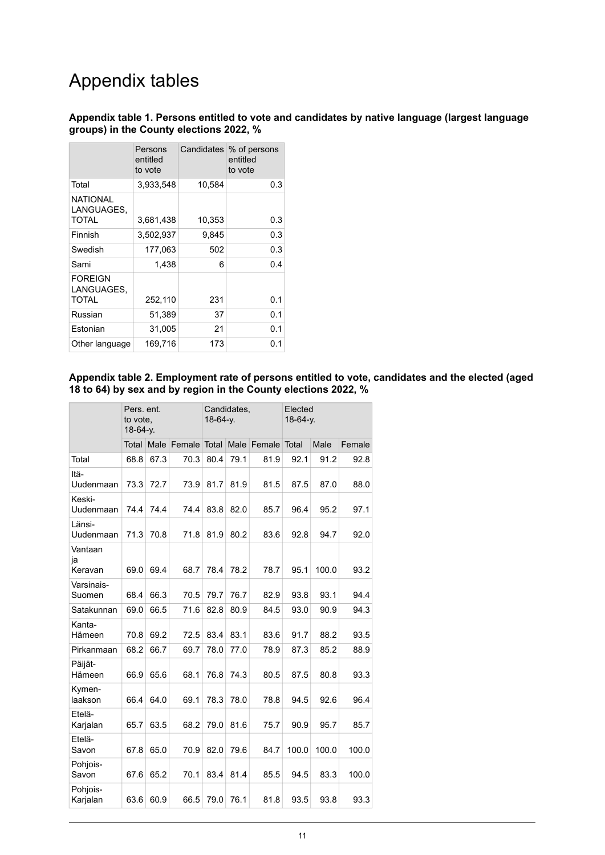## Appendix tables

#### <span id="page-10-0"></span>**Appendix table 1. Persons entitled to vote and candidates by native language (largest language groups) in the County elections 2022, %**

|                                        | Persons<br>entitled<br>to vote |        | Candidates \% of persons<br>entitled<br>to vote |
|----------------------------------------|--------------------------------|--------|-------------------------------------------------|
| Total                                  | 3.933,548                      | 10,584 | 0.3                                             |
| <b>NATIONAL</b><br>LANGUAGES,<br>TOTAL | 3.681,438                      | 10,353 | 0.3                                             |
| Finnish                                | 3,502,937                      | 9,845  | 0.3                                             |
| Swedish                                | 177,063                        | 502    | 0.3                                             |
| Sami                                   | 1,438                          | 6      | 0.4                                             |
| <b>FOREIGN</b><br>LANGUAGES.<br>TOTAL  | 252,110                        | 231    | 0.1                                             |
| Russian                                | 51,389                         | 37     | 0.1                                             |
| Estonian                               | 31,005                         | 21     | 0.1                                             |
| Other language                         | 169,716                        | 173    | 0.1                                             |

#### <span id="page-10-1"></span>**Appendix table 2. Employment rate of persons entitled to vote, candidates and the elected (aged 18 to 64) by sex and by region in the County elections 2022, %**

|                          | Pers. ent.<br>to vote. | $18-64-y$ . |        |              | Candidates,<br>18-64-y. |        | Elected<br>18-64-y. |       |        |
|--------------------------|------------------------|-------------|--------|--------------|-------------------------|--------|---------------------|-------|--------|
|                          | Total                  | Male        | Female | <b>Total</b> | Male                    | Female | Total               | Male  | Female |
| Total                    | 68.8                   | 67.3        | 70.3   | 80.4         | 79.1                    | 81.9   | 92.1                | 91.2  | 92.8   |
| Itä-<br>Uudenmaan        | 73.3                   | 72.7        | 73.9   | 81.7         | 81.9                    | 81.5   | 87.5                | 87.0  | 88.0   |
| Keski-<br>Uudenmaan      | 74.4                   | 74.4        | 74.4   | 83.8         | 82.0                    | 85.7   | 96.4                | 95.2  | 97.1   |
| Länsi-<br>Uudenmaan      | 71.3                   | 70.8        | 71.8   | 81.9         | 80.2                    | 83.6   | 92.8                | 94.7  | 92.0   |
| Vantaan<br>ја<br>Keravan | 69.0                   | 69.4        | 68.7   | 78.4         | 78.2                    | 78.7   | 95.1                | 100.0 | 93.2   |
| Varsinais-<br>Suomen     | 68.4                   | 66.3        | 70.5   | 79.7         | 76.7                    | 82.9   | 93.8                | 93.1  | 94.4   |
| Satakunnan               | 69.0                   | 66.5        | 71.6   | 82.8         | 80.9                    | 84.5   | 93.0                | 90.9  | 94.3   |
| Kanta-<br>Hämeen         | 70.8                   | 69.2        | 72.5   | 83.4         | 83.1                    | 83.6   | 91.7                | 88.2  | 93.5   |
| Pirkanmaan               | 68.2                   | 66.7        | 69.7   | 78.0         | 77.0                    | 78.9   | 87.3                | 85.2  | 88.9   |
| Päijät-<br>Hämeen        | 66.9                   | 65.6        | 68.1   | 76.8         | 74.3                    | 80.5   | 87.5                | 80.8  | 93.3   |
| Kymen-<br>laakson        | 66.4                   | 64.0        | 69.1   | 78.3         | 78.0                    | 78.8   | 94.5                | 92.6  | 96.4   |
| Etelä-<br>Karjalan       | 65.7                   | 63.5        | 68.2   | 79.0         | 81.6                    | 75.7   | 90.9                | 95.7  | 85.7   |
| Etelä-<br>Savon          | 67.8                   | 65.0        | 70.9   | 82.0         | 79.6                    | 84.7   | 100.0               | 100.0 | 100.0  |
| Pohjois-<br>Savon        | 67.6                   | 65.2        | 70.1   | 83.4         | 81.4                    | 85.5   | 94.5                | 83.3  | 100.0  |
| Pohjois-<br>Karjalan     | 63.6                   | 60.9        | 66.5   | 79.0         | 76.1                    | 81.8   | 93.5                | 93.8  | 93.3   |
|                          |                        |             |        |              |                         |        |                     |       |        |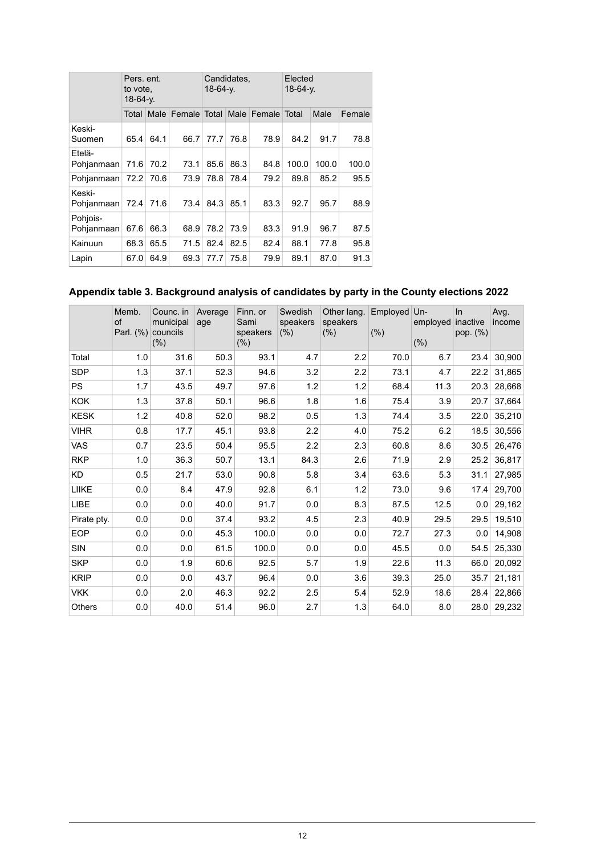|                        | Pers. ent.<br>to vote.<br>$18-64-y$ . |      |              | $18-64-y$ . | Candidates, |              | Elected<br>$18-64-y$ . |       |        |  |
|------------------------|---------------------------------------|------|--------------|-------------|-------------|--------------|------------------------|-------|--------|--|
|                        | Total I                               | Male | Female Total |             | Male        | Female Total |                        | Male  | Female |  |
| Keski-<br>Suomen       | 65.4                                  | 64.1 | 66.7         | 77.7        | 76.8        | 78.9         | 84.2                   | 91.7  | 78.8   |  |
| Etelä-<br>Pohjanmaan   | 71.6                                  | 70.2 | 73.1         | 85.6        | 86.3        | 84.8         | 100.0                  | 100.0 | 100.0  |  |
| Pohjanmaan             | 72.2                                  | 70.6 | 73.9         | 78.8        | 78.4        | 79.2         | 89.8                   | 85.2  | 95.5   |  |
| Keski-<br>Pohjanmaan   | 72.4                                  | 71.6 | 73.4         | 84.3        | 85.1        | 83.3         | 92.7                   | 95.7  | 88.9   |  |
| Pohjois-<br>Pohjanmaan | 67.6                                  | 66.3 | 68.9         | 78.2        | 73.9        | 83.3         | 91.9                   | 96.7  | 87.5   |  |
| Kainuun                | 68.3                                  | 65.5 | 71.5         | 82.4        | 82.5        | 82.4         | 88.1                   | 77.8  | 95.8   |  |
| Lapin                  | 67.0                                  | 64.9 | 69.3         | 77.7        | 75.8        | 79.9         | 89.1                   | 87.0  | 91.3   |  |

## <span id="page-11-0"></span>**Appendix table 3. Background analysis of candidates by party in the County elections 2022**

|             | Memb.<br><b>of</b><br>Parl. (%) | Counc. in<br>municipal<br>councils<br>(%) | Average<br>age | Finn. or<br>Sami<br>speakers<br>(% ) | Swedish<br>speakers<br>(% ) | Other lang.<br>speakers<br>$(\% )$ | Employed<br>(% ) | $Un-$<br>employed<br>(% ) | $\ln$<br>inactive<br>pop. (%) | Avg.<br>income |
|-------------|---------------------------------|-------------------------------------------|----------------|--------------------------------------|-----------------------------|------------------------------------|------------------|---------------------------|-------------------------------|----------------|
| Total       | 1.0                             | 31.6                                      | 50.3           | 93.1                                 | 4.7                         | 2.2                                | 70.0             | 6.7                       | 23.4                          | 30,900         |
| <b>SDP</b>  | 1.3                             | 37.1                                      | 52.3           | 94.6                                 | 3.2                         | 2.2                                | 73.1             | 4.7                       | 22.2                          | 31,865         |
| <b>PS</b>   | 1.7                             | 43.5                                      | 49.7           | 97.6                                 | 1.2                         | 1.2                                | 68.4             | 11.3                      | 20.3                          | 28,668         |
| <b>KOK</b>  | 1.3                             | 37.8                                      | 50.1           | 96.6                                 | 1.8                         | 1.6                                | 75.4             | 3.9                       | 20.7                          | 37,664         |
| <b>KESK</b> | 1.2                             | 40.8                                      | 52.0           | 98.2                                 | 0.5                         | 1.3                                | 74.4             | 3.5                       | 22.0                          | 35,210         |
| <b>VIHR</b> | 0.8                             | 17.7                                      | 45.1           | 93.8                                 | 2.2                         | 4.0                                | 75.2             | 6.2                       | 18.5                          | 30,556         |
| <b>VAS</b>  | 0.7                             | 23.5                                      | 50.4           | 95.5                                 | 2.2                         | 2.3                                | 60.8             | 8.6                       | 30.5                          | 26,476         |
| <b>RKP</b>  | 1.0                             | 36.3                                      | 50.7           | 13.1                                 | 84.3                        | 2.6                                | 71.9             | 2.9                       | 25.2                          | 36,817         |
| <b>KD</b>   | 0.5                             | 21.7                                      | 53.0           | 90.8                                 | 5.8                         | 3.4                                | 63.6             | 5.3                       | 31.1                          | 27,985         |
| LIIKE       | 0.0                             | 8.4                                       | 47.9           | 92.8                                 | 6.1                         | 1.2                                | 73.0             | 9.6                       | 17.4                          | 29,700         |
| LIBE        | 0.0                             | 0.0                                       | 40.0           | 91.7                                 | 0.0                         | 8.3                                | 87.5             | 12.5                      | 0.0                           | 29,162         |
| Pirate pty. | 0.0                             | 0.0                                       | 37.4           | 93.2                                 | 4.5                         | 2.3                                | 40.9             | 29.5                      | 29.5                          | 19,510         |
| <b>EOP</b>  | 0.0                             | 0.0                                       | 45.3           | 100.0                                | 0.0                         | 0.0                                | 72.7             | 27.3                      | 0.0                           | 14,908         |
| <b>SIN</b>  | 0.0                             | 0.0                                       | 61.5           | 100.0                                | 0.0                         | 0.0                                | 45.5             | 0.0                       | 54.5                          | 25,330         |
| <b>SKP</b>  | 0.0                             | 1.9                                       | 60.6           | 92.5                                 | 5.7                         | 1.9                                | 22.6             | 11.3                      | 66.0                          | 20,092         |
| <b>KRIP</b> | 0.0                             | 0.0                                       | 43.7           | 96.4                                 | 0.0                         | 3.6                                | 39.3             | 25.0                      | 35.7                          | 21,181         |
| <b>VKK</b>  | 0.0                             | 2.0                                       | 46.3           | 92.2                                 | 2.5                         | 5.4                                | 52.9             | 18.6                      | 28.4                          | 22,866         |
| Others      | 0.0                             | 40.0                                      | 51.4           | 96.0                                 | 2.7                         | 1.3                                | 64.0             | 8.0                       | 28.0                          | 29,232         |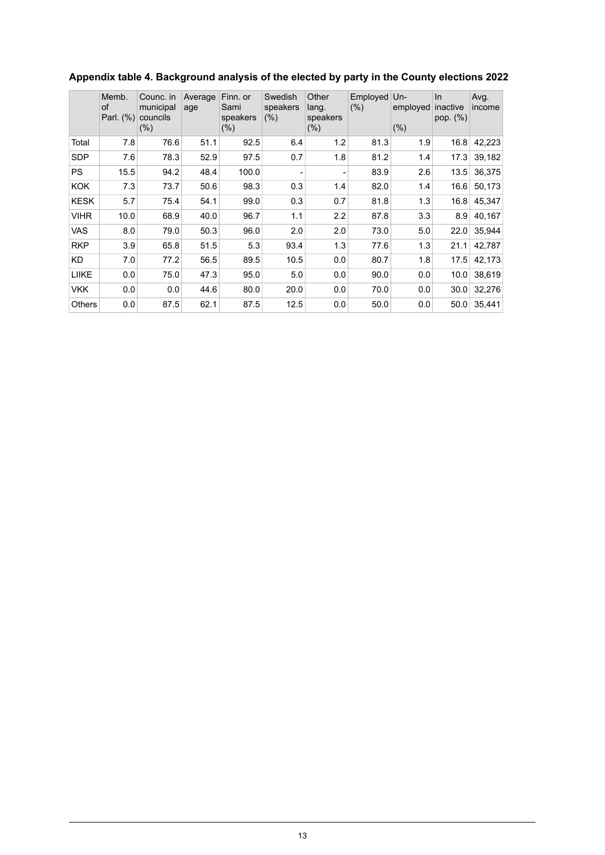|               | Memb.<br>of<br>Parl. (%) | Counc. in<br>municipal<br>councils<br>(% ) | Average<br>age | Finn. or<br>Sami<br>speakers<br>$(\% )$ | Swedish<br>speakers<br>(% ) | Other<br>lang.<br>speakers<br>(% ) | Employed<br>$(\% )$ | $Un-$<br>employed<br>(% ) | In<br>inactive<br>pop. (%) | Avg.<br>income |
|---------------|--------------------------|--------------------------------------------|----------------|-----------------------------------------|-----------------------------|------------------------------------|---------------------|---------------------------|----------------------------|----------------|
| Total         | 7.8                      | 76.6                                       | 51.1           | 92.5                                    | 6.4                         | 1.2                                | 81.3                | 1.9                       | 16.8                       | 42,223         |
| <b>SDP</b>    | 7.6                      | 78.3                                       | 52.9           | 97.5                                    | 0.7                         | 1.8                                | 81.2                | 1.4                       | 17.3                       | 39,182         |
| <b>PS</b>     | 15.5                     | 94.2                                       | 48.4           | 100.0                                   |                             |                                    | 83.9                | 2.6                       | 13.5                       | 36,375         |
| <b>KOK</b>    | 7.3                      | 73.7                                       | 50.6           | 98.3                                    | 0.3                         | 1.4                                | 82.0                | 1.4                       | 16.6                       | 50,173         |
| <b>KESK</b>   | 5.7                      | 75.4                                       | 54.1           | 99.0                                    | 0.3                         | 0.7                                | 81.8                | 1.3                       | 16.8                       | 45,347         |
| <b>VIHR</b>   | 10.0                     | 68.9                                       | 40.0           | 96.7                                    | 1.1                         | 2.2                                | 87.8                | 3.3                       | 8.9                        | 40,167         |
| <b>VAS</b>    | 8.0                      | 79.0                                       | 50.3           | 96.0                                    | 2.0                         | 2.0                                | 73.0                | 5.0                       | 22.0                       | 35,944         |
| <b>RKP</b>    | 3.9                      | 65.8                                       | 51.5           | 5.3                                     | 93.4                        | 1.3                                | 77.6                | 1.3                       | 21.1                       | 42,787         |
| KD            | 7.0                      | 77.2                                       | 56.5           | 89.5                                    | 10.5                        | 0.0                                | 80.7                | 1.8                       | 17.5                       | 42.173         |
| <b>LIIKE</b>  | 0.0                      | 75.0                                       | 47.3           | 95.0                                    | 5.0                         | 0.0                                | 90.0                | 0.0                       | 10.0                       | 38,619         |
| <b>VKK</b>    | 0.0                      | 0.0                                        | 44.6           | 80.0                                    | 20.0                        | 0.0                                | 70.0                | 0.0                       | 30.0                       | 32,276         |
| <b>Others</b> | 0.0                      | 87.5                                       | 62.1           | 87.5                                    | 12.5                        | 0.0                                | 50.0                | 0.0                       | 50.0                       | 35,441         |

## <span id="page-12-0"></span>**Appendix table 4. Background analysis of the elected by party in the County elections 2022**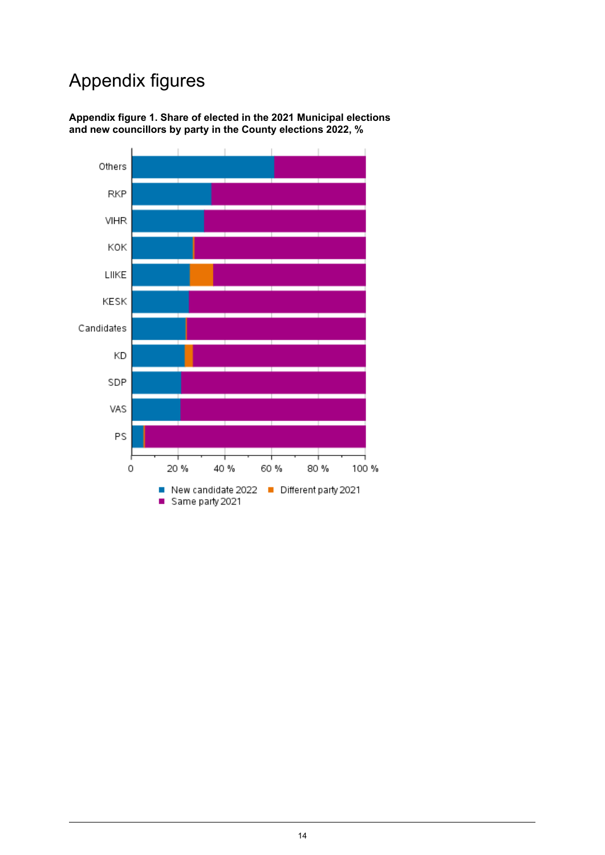## Appendix figures

<span id="page-13-0"></span>

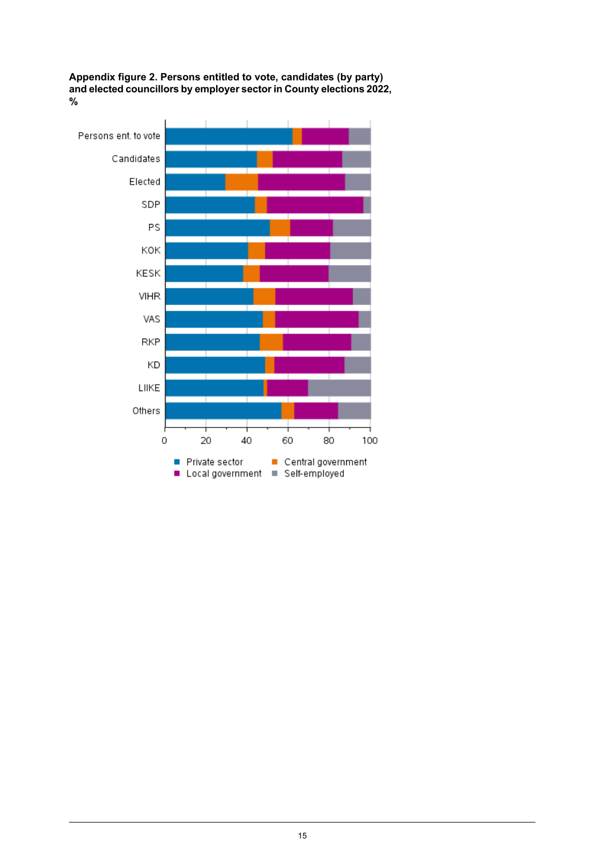<span id="page-14-0"></span>**Appendix figure 2. Persons entitled to vote, candidates (by party) and elected councillors byemployersector in Countyelections2022, %**

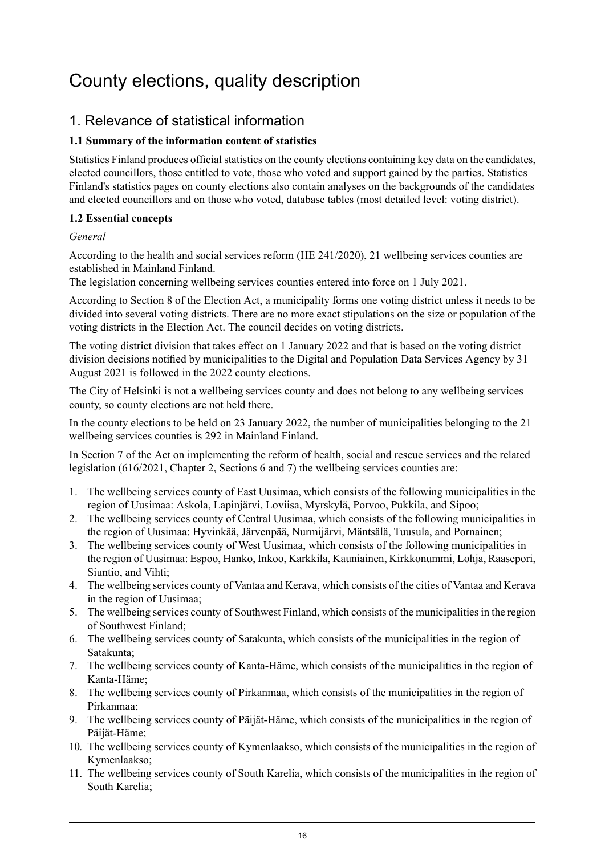## <span id="page-15-0"></span>County elections, quality description

## 1. Relevance of statistical information

#### **1.1 Summary of the information content of statistics**

Statistics Finland produces official statistics on the county elections containing key data on the candidates, elected councillors, those entitled to vote, those who voted and support gained by the parties. Statistics Finland's statistics pages on county elections also contain analyses on the backgrounds of the candidates and elected councillors and on those who voted, database tables (most detailed level: voting district).

#### **1.2 Essential concepts**

#### *General*

According to the health and social services reform (HE 241/2020), 21 wellbeing services counties are established in Mainland Finland.

The legislation concerning wellbeing services counties entered into force on 1 July 2021.

According to Section 8 of the Election Act, a municipality forms one voting district unless it needs to be divided into several voting districts. There are no more exact stipulations on the size or population of the voting districts in the Election Act. The council decides on voting districts.

The voting district division that takes effect on 1 January 2022 and that is based on the voting district division decisions notified by municipalities to the Digital and Population Data Services Agency by 31 August 2021 is followed in the 2022 county elections.

The City of Helsinki is not a wellbeing services county and does not belong to any wellbeing services county, so county elections are not held there.

In the county elections to be held on 23 January 2022, the number of municipalities belonging to the 21 wellbeing services counties is 292 in Mainland Finland.

In Section 7 of the Act on implementing the reform of health, social and rescue services and the related legislation (616/2021, Chapter 2, Sections 6 and 7) the wellbeing services counties are:

- 1. The wellbeing services county of East Uusimaa, which consists of the following municipalities in the region of Uusimaa: Askola, Lapinjärvi, Loviisa, Myrskylä, Porvoo, Pukkila, and Sipoo;
- 2. The wellbeing services county of Central Uusimaa, which consists of the following municipalities in the region of Uusimaa: Hyvinkää, Järvenpää, Nurmijärvi, Mäntsälä, Tuusula, and Pornainen;
- 3. The wellbeing services county of West Uusimaa, which consists of the following municipalities in the region of Uusimaa: Espoo, Hanko, Inkoo, Karkkila, Kauniainen, Kirkkonummi, Lohja, Raasepori, Siuntio, and Vihti;
- 4. The wellbeing services county of Vantaa and Kerava, which consists of the cities of Vantaa and Kerava in the region of Uusimaa;
- 5. The wellbeing services county of Southwest Finland, which consists of the municipalities in the region of Southwest Finland;
- 6. The wellbeing services county of Satakunta, which consists of the municipalities in the region of Satakunta;
- 7. The wellbeing services county of Kanta-Häme, which consists of the municipalities in the region of Kanta-Häme;
- 8. The wellbeing services county of Pirkanmaa, which consists of the municipalities in the region of Pirkanmaa;
- 9. The wellbeing services county of Päijät-Häme, which consists of the municipalities in the region of Päijät-Häme;
- 10. The wellbeing services county of Kymenlaakso, which consists of the municipalities in the region of Kymenlaakso;
- 11. The wellbeing services county of South Karelia, which consists of the municipalities in the region of South Karelia;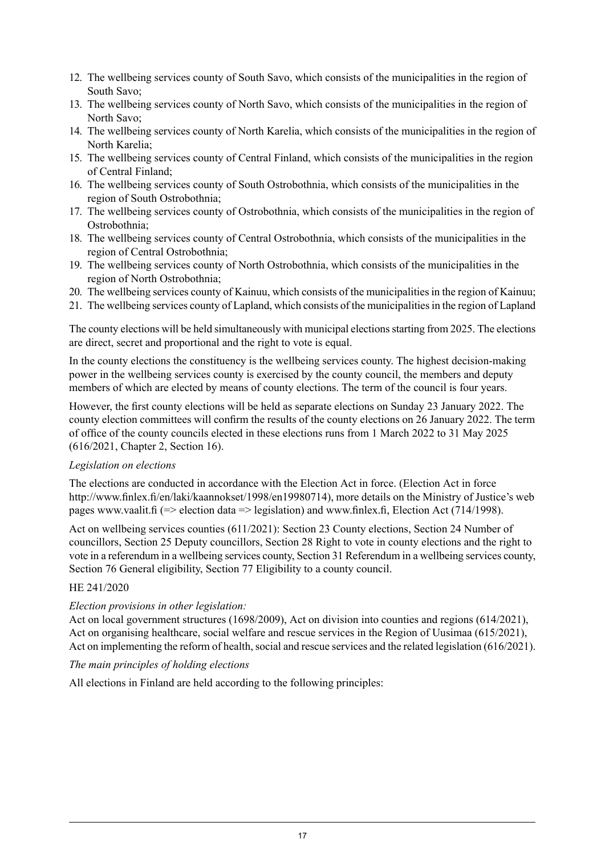- 12. The wellbeing services county of South Savo, which consists of the municipalities in the region of South Savo;
- 13. The wellbeing services county of North Savo, which consists of the municipalities in the region of North Savo;
- 14. The wellbeing services county of North Karelia, which consists of the municipalities in the region of North Karelia;
- 15. The wellbeing services county of Central Finland, which consists of the municipalities in the region of Central Finland;
- 16. The wellbeing services county of South Ostrobothnia, which consists of the municipalities in the region of South Ostrobothnia;
- 17. The wellbeing services county of Ostrobothnia, which consists of the municipalities in the region of Ostrobothnia;
- 18. The wellbeing services county of Central Ostrobothnia, which consists of the municipalities in the region of Central Ostrobothnia;
- 19. The wellbeing services county of North Ostrobothnia, which consists of the municipalities in the region of North Ostrobothnia;
- 20. The wellbeing services county of Kainuu, which consists of the municipalities in the region of Kainuu;
- 21. The wellbeing services county of Lapland, which consists of the municipalitiesin the region of Lapland

The county elections will be held simultaneously with municipal elections starting from 2025. The elections are direct, secret and proportional and the right to vote is equal.

In the county elections the constituency is the wellbeing services county. The highest decision-making power in the wellbeing services county is exercised by the county council, the members and deputy members of which are elected by means of county elections. The term of the council is four years.

However, the first county elections will be held as separate elections on Sunday 23 January 2022. The county election committees will confirm the results of the county elections on 26 January 2022. The term of office of the county councils elected in these elections runs from 1 March 2022 to 31 May 2025 (616/2021, Chapter 2, Section 16).

#### *Legislation on elections*

The elections are conducted in accordance with the Election Act in force. (Election Act in force http://www.finlex.fi/en/laki/kaannokset/1998/en19980714), more details on the Ministry of Justice's web pages www.vaalit.fi (=> election data => legislation) and www.finlex.fi, Election Act (714/1998).

Act on wellbeing services counties (611/2021): Section 23 County elections, Section 24 Number of councillors, Section 25 Deputy councillors, Section 28 Right to vote in county elections and the right to vote in a referendum in a wellbeing services county, Section 31 Referendum in a wellbeing services county, Section 76 General eligibility, Section 77 Eligibility to a county council.

#### HE 241/2020

#### *Election provisions in other legislation:*

Act on local government structures (1698/2009), Act on division into counties and regions (614/2021), Act on organising healthcare, social welfare and rescue services in the Region of Uusimaa (615/2021), Act on implementing the reform of health, social and rescue services and the related legislation (616/2021).

#### *The main principles of holding elections*

All elections in Finland are held according to the following principles: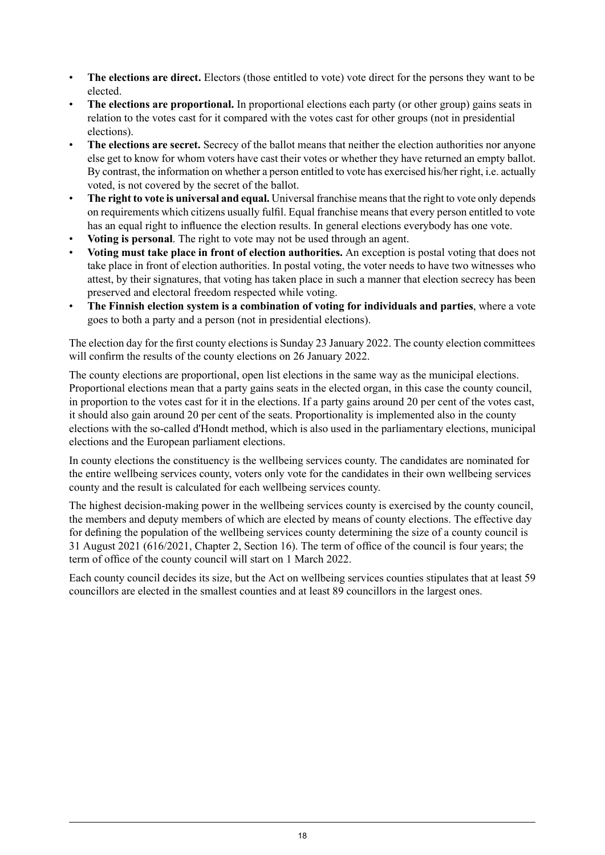- **The elections are direct.** Electors (those entitled to vote) vote direct for the persons they want to be elected.
- **The elections are proportional.** In proportional elections each party (or other group) gains seats in relation to the votes cast for it compared with the votes cast for other groups (not in presidential elections).
- **The elections are secret.** Secrecy of the ballot means that neither the election authorities nor anyone else get to know for whom voters have cast their votes or whether they have returned an empty ballot. By contrast, the information on whether a person entitled to vote has exercised his/her right, i.e. actually voted, is not covered by the secret of the ballot.
- **The right to vote is universal and equal.** Universal franchise meansthat the right to vote only depends on requirements which citizens usually fulfil. Equal franchise means that every person entitled to vote has an equal right to influence the election results. In general elections everybody has one vote.
- **Voting is personal**. The right to vote may not be used through an agent.
- **Voting must take place in front of election authorities.** An exception is postal voting that does not take place in front of election authorities. In postal voting, the voter needs to have two witnesses who attest, by their signatures, that voting has taken place in such a manner that election secrecy has been preserved and electoral freedom respected while voting.
- **The Finnish election system is a combination of voting for individuals and parties**, where a vote goes to both a party and a person (not in presidential elections).

The election day for the first county elections is Sunday 23 January 2022. The county election committees will confirm the results of the county elections on 26 January 2022.

The county elections are proportional, open list elections in the same way as the municipal elections. Proportional elections mean that a party gains seats in the elected organ, in this case the county council, in proportion to the votes cast for it in the elections. If a party gains around 20 per cent of the votes cast, it should also gain around 20 per cent of the seats. Proportionality is implemented also in the county elections with the so-called d'Hondt method, which is also used in the parliamentary elections, municipal elections and the European parliament elections.

In county elections the constituency is the wellbeing services county. The candidates are nominated for the entire wellbeing services county, voters only vote for the candidates in their own wellbeing services county and the result is calculated for each wellbeing services county.

The highest decision-making power in the wellbeing services county is exercised by the county council, the members and deputy members of which are elected by means of county elections. The effective day for defining the population of the wellbeing services county determining the size of a county council is 31 August 2021 (616/2021, Chapter 2, Section 16). The term of office of the council is four years; the term of office of the county council will start on 1 March 2022.

Each county council decides its size, but the Act on wellbeing services counties stipulates that at least 59 councillors are elected in the smallest counties and at least 89 councillors in the largest ones.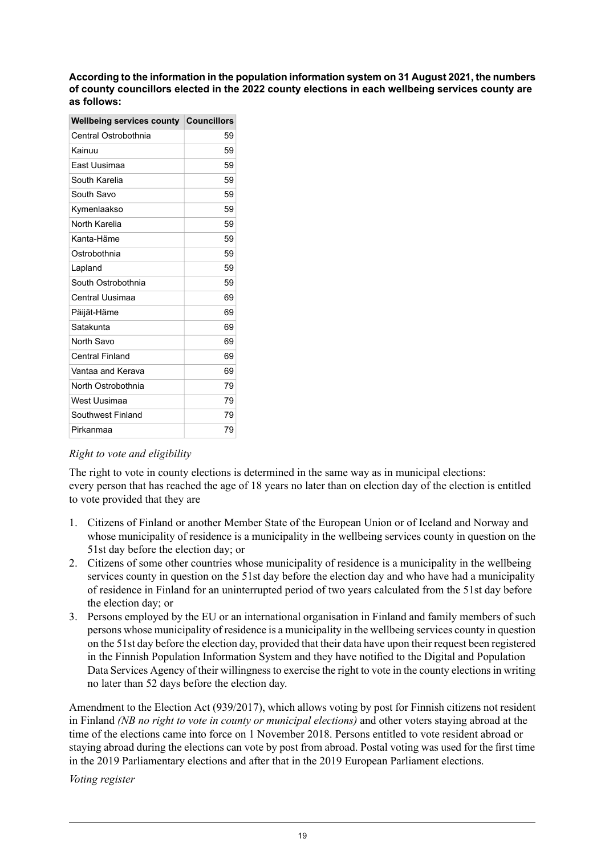**According to theinformation in the population information system on 31 August2021, the numbers of county councillors elected in the 2022 county elections in each wellbeing services county are as follows:**

| <b>Councillors</b> |
|--------------------|
| 59                 |
| 59                 |
| 59                 |
| 59                 |
| 59                 |
| 59                 |
| 59                 |
| 59                 |
| 59                 |
| 59                 |
| 59                 |
| 69                 |
| 69                 |
| 69                 |
| 69                 |
| 69                 |
| 69                 |
| 79                 |
| 79                 |
| 79                 |
| 79                 |
|                    |

#### *Right to vote and eligibility*

The right to vote in county elections is determined in the same way as in municipal elections: every person that has reached the age of 18 years no later than on election day of the election is entitled to vote provided that they are

- 1. Citizens of Finland or another Member State of the European Union or of Iceland and Norway and whose municipality of residence is a municipality in the wellbeing services county in question on the 51st day before the election day; or
- 2. Citizens of some other countries whose municipality of residence is a municipality in the wellbeing services county in question on the 51st day before the election day and who have had a municipality of residence in Finland for an uninterrupted period of two years calculated from the 51st day before the election day; or
- 3. Persons employed by the EU or an international organisation in Finland and family members of such persons whose municipality of residence is a municipality in the wellbeing services county in question on the 51st day before the election day, provided that their data have upon their request been registered in the Finnish Population Information System and they have notified to the Digital and Population Data Services Agency of their willingness to exercise the right to vote in the county elections in writing no later than 52 days before the election day.

Amendment to the Election Act (939/2017), which allows voting by post for Finnish citizens not resident in Finland *(NB no right to vote in county or municipal elections)* and other voters staying abroad at the time of the elections came into force on 1 November 2018. Persons entitled to vote resident abroad or staying abroad during the elections can vote by post from abroad. Postal voting was used for the first time in the 2019 Parliamentary elections and after that in the 2019 European Parliament elections.

*Voting register*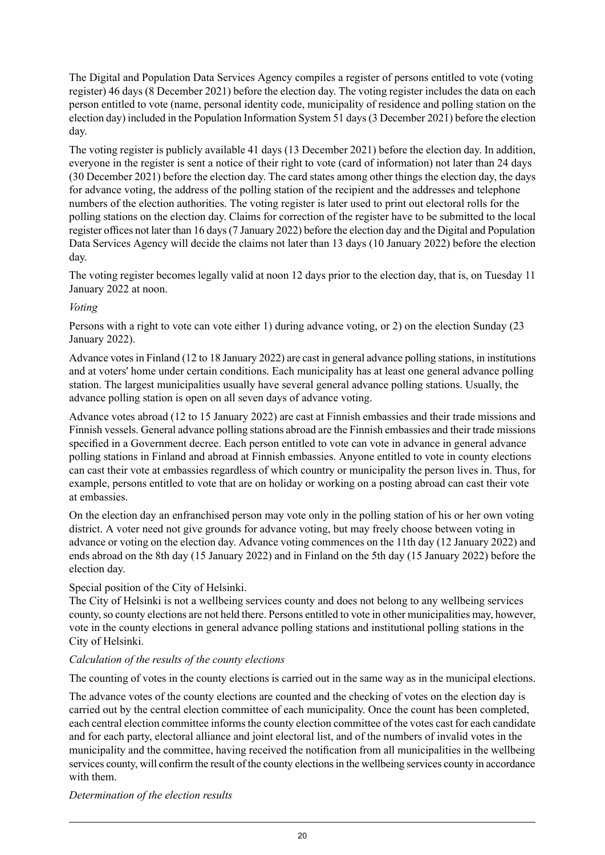The Digital and Population Data Services Agency compiles a register of persons entitled to vote (voting register) 46 days (8 December 2021) before the election day. The voting register includes the data on each person entitled to vote (name, personal identity code, municipality of residence and polling station on the election day) included in the Population Information System 51 days(3 December 2021) before the election day.

The voting register is publicly available 41 days (13 December 2021) before the election day. In addition, everyone in the register is sent a notice of their right to vote (card of information) not later than 24 days (30 December 2021) before the election day. The card states among other things the election day, the days for advance voting, the address of the polling station of the recipient and the addresses and telephone numbers of the election authorities. The voting register is later used to print out electoral rolls for the polling stations on the election day. Claims for correction of the register have to be submitted to the local register offices not later than 16 days(7 January 2022) before the election day and the Digital and Population Data Services Agency will decide the claims not later than 13 days (10 January 2022) before the election day.

The voting register becomes legally valid at noon 12 days prior to the election day, that is, on Tuesday 11 January 2022 at noon.

#### *Voting*

Persons with a right to vote can vote either 1) during advance voting, or 2) on the election Sunday (23 January 2022).

Advance votesin Finland (12 to 18 January 2022) are cast in general advance polling stations, in institutions and at voters' home under certain conditions. Each municipality has at least one general advance polling station. The largest municipalities usually have several general advance polling stations. Usually, the advance polling station is open on all seven days of advance voting.

Advance votes abroad (12 to 15 January 2022) are cast at Finnish embassies and their trade missions and Finnish vessels. General advance polling stations abroad are the Finnish embassies and their trade missions specified in a Government decree. Each person entitled to vote can vote in advance in general advance polling stations in Finland and abroad at Finnish embassies. Anyone entitled to vote in county elections can cast their vote at embassies regardless of which country or municipality the person lives in. Thus, for example, persons entitled to vote that are on holiday or working on a posting abroad can cast their vote at embassies.

On the election day an enfranchised person may vote only in the polling station of his or her own voting district. A voter need not give grounds for advance voting, but may freely choose between voting in advance or voting on the election day. Advance voting commences on the 11th day (12 January 2022) and ends abroad on the 8th day (15 January 2022) and in Finland on the 5th day (15 January 2022) before the election day.

#### Special position of the City of Helsinki.

The City of Helsinki is not a wellbeing services county and does not belong to any wellbeing services county, so county elections are not held there. Persons entitled to vote in other municipalities may, however, vote in the county elections in general advance polling stations and institutional polling stations in the City of Helsinki.

#### *Calculation of the results of the county elections*

The counting of votes in the county elections is carried out in the same way as in the municipal elections.

The advance votes of the county elections are counted and the checking of votes on the election day is carried out by the central election committee of each municipality. Once the count has been completed, each central election committee informs the county election committee of the votes cast for each candidate and for each party, electoral alliance and joint electoral list, and of the numbers of invalid votes in the municipality and the committee, having received the notification from all municipalities in the wellbeing services county, will confirm the result of the county elections in the wellbeing services county in accordance with them.

*Determination of the election results*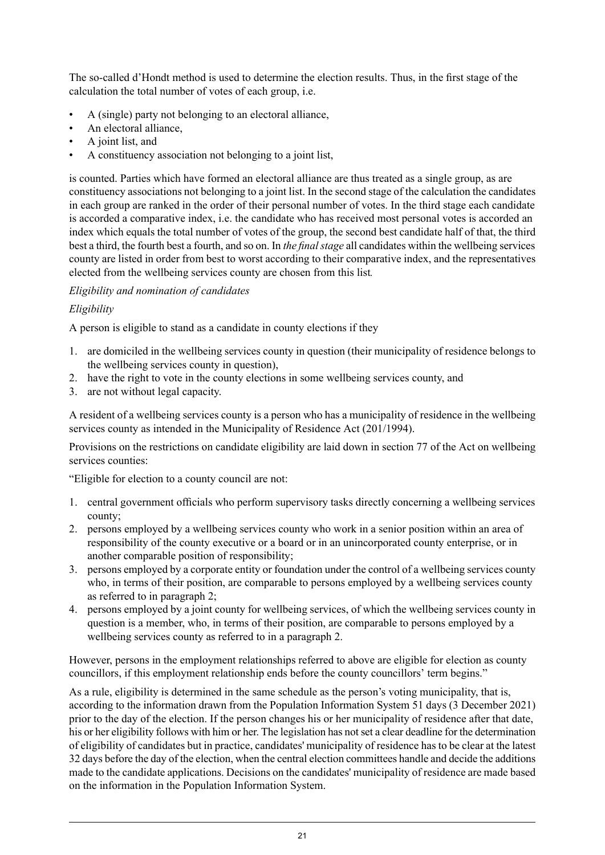The so-called d'Hondt method is used to determine the election results. Thus, in the first stage of the calculation the total number of votes of each group, i.e.

- A (single) party not belonging to an electoral alliance,
- An electoral alliance,
- A joint list, and
- A constituency association not belonging to a joint list,

is counted. Parties which have formed an electoral alliance are thus treated as a single group, as are constituency associations not belonging to a joint list. In the second stage of the calculation the candidates in each group are ranked in the order of their personal number of votes. In the third stage each candidate is accorded a comparative index, i.e. the candidate who has received most personal votes is accorded an index which equals the total number of votes of the group, the second best candidate half of that, the third best a third, the fourth best a fourth, and so on. In *the final stage* all candidates within the wellbeing services county are listed in order from best to worst according to their comparative index, and the representatives elected from the wellbeing services county are chosen from this list*.*

#### *Eligibility and nomination of candidates*

#### *Eligibility*

A person is eligible to stand as a candidate in county elections if they

- 1. are domiciled in the wellbeing services county in question (their municipality of residence belongs to the wellbeing services county in question),
- 2. have the right to vote in the county elections in some wellbeing services county, and
- 3. are not without legal capacity.

A resident of a wellbeing services county is a person who has a municipality of residence in the wellbeing services county as intended in the Municipality of Residence Act (201/1994).

Provisions on the restrictions on candidate eligibility are laid down in section 77 of the Act on wellbeing services counties:

"Eligible for election to a county council are not:

- 1. central government officials who perform supervisory tasks directly concerning a wellbeing services county;
- 2. persons employed by a wellbeing services county who work in a senior position within an area of responsibility of the county executive or a board or in an unincorporated county enterprise, or in another comparable position of responsibility;
- 3. persons employed by a corporate entity or foundation under the control of a wellbeing services county who, in terms of their position, are comparable to persons employed by a wellbeing services county as referred to in paragraph 2;
- 4. persons employed by a joint county for wellbeing services, of which the wellbeing services county in question is a member, who, in terms of their position, are comparable to persons employed by a wellbeing services county as referred to in a paragraph 2.

However, persons in the employment relationships referred to above are eligible for election as county councillors, if this employment relationship ends before the county councillors' term begins."

As a rule, eligibility is determined in the same schedule as the person's voting municipality, that is, according to the information drawn from the Population Information System 51 days (3 December 2021) prior to the day of the election. If the person changes his or her municipality of residence after that date, his or her eligibility follows with him or her. The legislation has not set a clear deadline for the determination of eligibility of candidates but in practice, candidates' municipality of residence has to be clear at the latest 32 days before the day of the election, when the central election committees handle and decide the additions made to the candidate applications. Decisions on the candidates' municipality of residence are made based on the information in the Population Information System.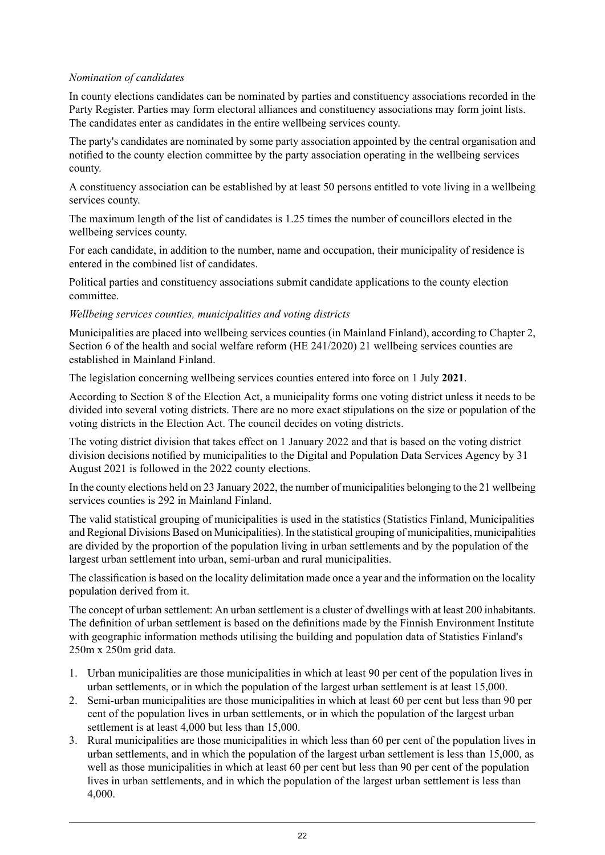#### *Nomination of candidates*

In county elections candidates can be nominated by parties and constituency associations recorded in the Party Register. Parties may form electoral alliances and constituency associations may form joint lists. The candidates enter as candidates in the entire wellbeing services county.

The party's candidates are nominated by some party association appointed by the central organisation and notified to the county election committee by the party association operating in the wellbeing services county.

A constituency association can be established by at least 50 persons entitled to vote living in a wellbeing services county.

The maximum length of the list of candidates is 1.25 times the number of councillors elected in the wellbeing services county.

For each candidate, in addition to the number, name and occupation, their municipality of residence is entered in the combined list of candidates.

Political parties and constituency associations submit candidate applications to the county election committee.

#### *Wellbeing services counties, municipalities and voting districts*

Municipalities are placed into wellbeing services counties (in Mainland Finland), according to Chapter 2, Section 6 of the health and social welfare reform (HE 241/2020) 21 wellbeing services counties are established in Mainland Finland.

The legislation concerning wellbeing services counties entered into force on 1 July **2021**.

According to Section 8 of the Election Act, a municipality forms one voting district unless it needs to be divided into several voting districts. There are no more exact stipulations on the size or population of the voting districts in the Election Act. The council decides on voting districts.

The voting district division that takes effect on 1 January 2022 and that is based on the voting district division decisions notified by municipalities to the Digital and Population Data Services Agency by 31 August 2021 is followed in the 2022 county elections.

In the county elections held on 23 January 2022, the number of municipalities belonging to the 21 wellbeing services counties is 292 in Mainland Finland.

The valid statistical grouping of municipalities is used in the statistics (Statistics Finland, Municipalities and Regional Divisions Based on Municipalities). In the statistical grouping of municipalities, municipalities are divided by the proportion of the population living in urban settlements and by the population of the largest urban settlement into urban, semi-urban and rural municipalities.

The classification is based on the locality delimitation made once a year and the information on the locality population derived from it.

The concept of urban settlement: An urban settlement is a cluster of dwellings with at least 200 inhabitants. The definition of urban settlement is based on the definitions made by the Finnish Environment Institute with geographic information methods utilising the building and population data of Statistics Finland's 250m x 250m grid data.

- 1. Urban municipalities are those municipalities in which at least 90 per cent of the population lives in urban settlements, or in which the population of the largest urban settlement is at least 15,000.
- 2. Semi-urban municipalities are those municipalities in which at least 60 per cent but less than 90 per cent of the population lives in urban settlements, or in which the population of the largest urban settlement is at least 4,000 but less than 15,000.
- 3. Rural municipalities are those municipalities in which less than 60 per cent of the population lives in urban settlements, and in which the population of the largest urban settlement is less than 15,000, as well as those municipalities in which at least 60 per cent but less than 90 per cent of the population lives in urban settlements, and in which the population of the largest urban settlement is less than 4,000.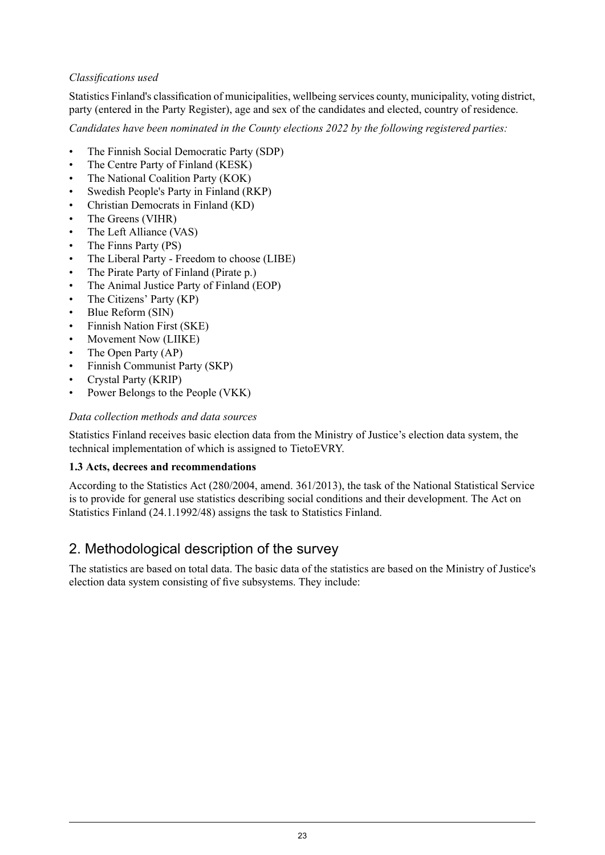#### *Classifications used*

Statistics Finland's classification of municipalities, wellbeing services county, municipality, voting district, party (entered in the Party Register), age and sex of the candidates and elected, country of residence.

*Candidates have been nominated in the County elections 2022 by the following registered parties:*

- The Finnish Social Democratic Party (SDP)
- The Centre Party of Finland (KESK)
- The National Coalition Party (KOK)
- Swedish People's Party in Finland (RKP)
- Christian Democrats in Finland (KD)
- The Greens (VIHR)
- The Left Alliance (VAS)
- The Finns Party (PS)
- The Liberal Party Freedom to choose (LIBE)
- The Pirate Party of Finland (Pirate p.)
- The Animal Justice Party of Finland (EOP)
- The Citizens' Party (KP)
- Blue Reform (SIN)
- Finnish Nation First (SKE)
- Movement Now (LIIKE)
- The Open Party (AP)
- Finnish Communist Party (SKP)
- Crystal Party (KRIP)
- Power Belongs to the People (VKK)

#### *Data collection methods and data sources*

Statistics Finland receives basic election data from the Ministry of Justice's election data system, the technical implementation of which is assigned to TietoEVRY.

#### **1.3 Acts, decrees and recommendations**

According to the Statistics Act (280/2004, amend. 361/2013), the task of the National Statistical Service is to provide for general use statistics describing social conditions and their development. The Act on Statistics Finland (24.1.1992/48) assigns the task to Statistics Finland.

### 2. Methodological description of the survey

The statistics are based on total data. The basic data of the statistics are based on the Ministry of Justice's election data system consisting of five subsystems. They include: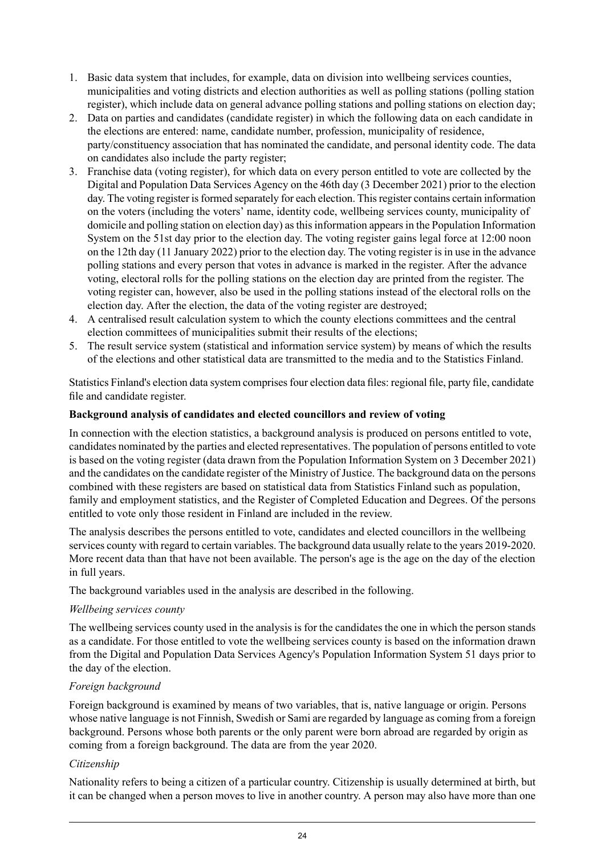- 1. Basic data system that includes, for example, data on division into wellbeing services counties, municipalities and voting districts and election authorities as well as polling stations (polling station register), which include data on general advance polling stations and polling stations on election day;
- 2. Data on parties and candidates (candidate register) in which the following data on each candidate in the elections are entered: name, candidate number, profession, municipality of residence, party/constituency association that has nominated the candidate, and personal identity code. The data on candidates also include the party register;
- 3. Franchise data (voting register), for which data on every person entitled to vote are collected by the Digital and Population Data Services Agency on the 46th day (3 December 2021) prior to the election day. The voting register is formed separately for each election. This register contains certain information on the voters (including the voters' name, identity code, wellbeing services county, municipality of domicile and polling station on election day) asthisinformation appearsin the Population Information System on the 51st day prior to the election day. The voting register gains legal force at 12:00 noon on the 12th day (11 January 2022) prior to the election day. The voting register is in use in the advance polling stations and every person that votes in advance is marked in the register. After the advance voting, electoral rolls for the polling stations on the election day are printed from the register. The voting register can, however, also be used in the polling stations instead of the electoral rolls on the election day. After the election, the data of the voting register are destroyed;
- 4. A centralised result calculation system to which the county elections committees and the central election committees of municipalities submit their results of the elections;
- 5. The result service system (statistical and information service system) by means of which the results of the elections and other statistical data are transmitted to the media and to the Statistics Finland.

Statistics Finland's election data system comprises four election data files: regional file, party file, candidate file and candidate register.

#### **Background analysis of candidates and elected councillors and review of voting**

In connection with the election statistics, a background analysis is produced on persons entitled to vote, candidates nominated by the parties and elected representatives. The population of persons entitled to vote is based on the voting register (data drawn from the Population Information System on 3 December 2021) and the candidates on the candidate register of the Ministry of Justice. The background data on the persons combined with these registers are based on statistical data from Statistics Finland such as population, family and employment statistics, and the Register of Completed Education and Degrees. Of the persons entitled to vote only those resident in Finland are included in the review.

The analysis describes the persons entitled to vote, candidates and elected councillors in the wellbeing services county with regard to certain variables. The background data usually relate to the years 2019-2020. More recent data than that have not been available. The person's age is the age on the day of the election in full years.

The background variables used in the analysis are described in the following.

#### *Wellbeing services county*

The wellbeing services county used in the analysis is for the candidates the one in which the person stands as a candidate. For those entitled to vote the wellbeing services county is based on the information drawn from the Digital and Population Data Services Agency's Population Information System 51 days prior to the day of the election.

#### *Foreign background*

Foreign background is examined by means of two variables, that is, native language or origin. Persons whose native language is not Finnish, Swedish or Sami are regarded by language as coming from a foreign background. Persons whose both parents or the only parent were born abroad are regarded by origin as coming from a foreign background. The data are from the year 2020.

#### *Citizenship*

Nationality refers to being a citizen of a particular country. Citizenship is usually determined at birth, but it can be changed when a person moves to live in another country. A person may also have more than one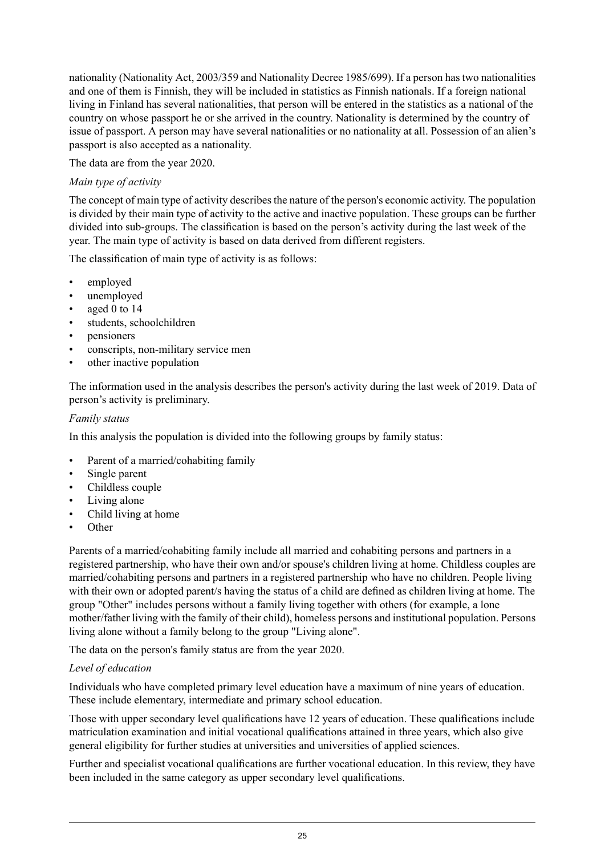nationality (Nationality Act, 2003/359 and Nationality Decree 1985/699). If a person has two nationalities and one of them is Finnish, they will be included in statistics as Finnish nationals. If a foreign national living in Finland has several nationalities, that person will be entered in the statistics as a national of the country on whose passport he or she arrived in the country. Nationality is determined by the country of issue of passport. A person may have several nationalities or no nationality at all. Possession of an alien's passport is also accepted as a nationality.

The data are from the year 2020.

#### *Main type of activity*

The concept of main type of activity describes the nature of the person's economic activity. The population is divided by their main type of activity to the active and inactive population. These groups can be further divided into sub-groups. The classification is based on the person's activity during the last week of the year. The main type of activity is based on data derived from different registers.

The classification of main type of activity is as follows:

- employed
- unemployed
- aged 0 to 14
- students, schoolchildren
- pensioners
- conscripts, non-military service men
- other inactive population

The information used in the analysis describes the person's activity during the last week of 2019. Data of person's activity is preliminary.

#### *Family status*

In this analysis the population is divided into the following groups by family status:

- Parent of a married/cohabiting family
- Single parent
- Childless couple
- Living alone
- Child living at home
- Other

Parents of a married/cohabiting family include all married and cohabiting persons and partners in a registered partnership, who have their own and/or spouse's children living at home. Childless couples are married/cohabiting persons and partners in a registered partnership who have no children. People living with their own or adopted parent/s having the status of a child are defined as children living at home. The group "Other" includes persons without a family living together with others (for example, a lone mother/father living with the family of their child), homeless persons and institutional population. Persons living alone without a family belong to the group "Living alone".

The data on the person's family status are from the year 2020.

#### *Level of education*

Individuals who have completed primary level education have a maximum of nine years of education. These include elementary, intermediate and primary school education.

Those with upper secondary level qualifications have 12 years of education. These qualifications include matriculation examination and initial vocational qualifications attained in three years, which also give general eligibility for further studies at universities and universities of applied sciences.

Further and specialist vocational qualifications are further vocational education. In this review, they have been included in the same category as upper secondary level qualifications.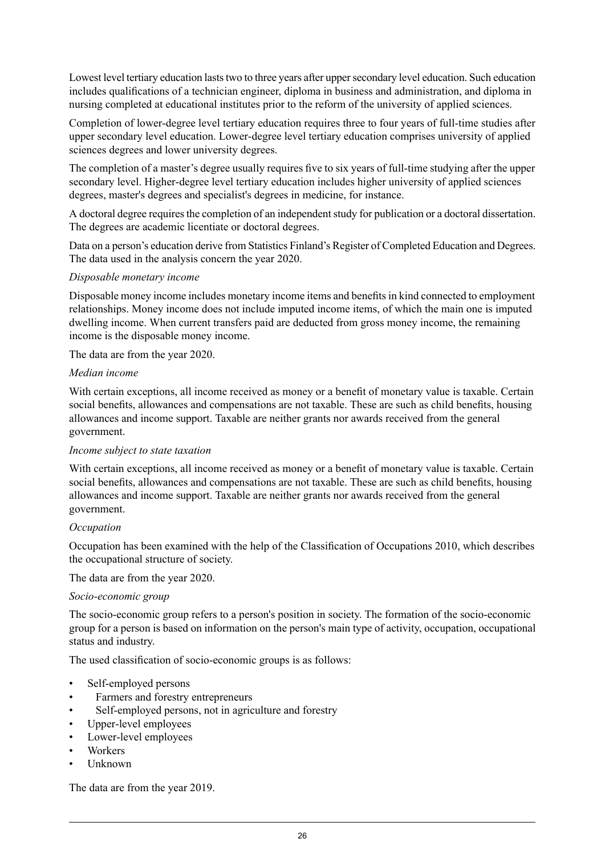Lowest level tertiary education lasts two to three years after upper secondary level education. Such education includes qualifications of a technician engineer, diploma in business and administration, and diploma in nursing completed at educational institutes prior to the reform of the university of applied sciences.

Completion of lower-degree level tertiary education requires three to four years of full-time studies after upper secondary level education. Lower-degree level tertiary education comprises university of applied sciences degrees and lower university degrees.

The completion of a master's degree usually requires five to six years of full-time studying after the upper secondary level. Higher-degree level tertiary education includes higher university of applied sciences degrees, master's degrees and specialist's degrees in medicine, for instance.

A doctoral degree requires the completion of an independent study for publication or a doctoral dissertation. The degrees are academic licentiate or doctoral degrees.

Data on a person's education derive from Statistics Finland's Register of Completed Education and Degrees. The data used in the analysis concern the year 2020.

#### *Disposable monetary income*

Disposable money income includes monetary income items and benefitsin kind connected to employment relationships. Money income does not include imputed income items, of which the main one is imputed dwelling income. When current transfers paid are deducted from gross money income, the remaining income is the disposable money income.

The data are from the year 2020.

#### *Median income*

With certain exceptions, all income received as money or a benefit of monetary value is taxable. Certain social benefits, allowances and compensations are not taxable. These are such as child benefits, housing allowances and income support. Taxable are neither grants nor awards received from the general government.

#### *Income subject to state taxation*

With certain exceptions, all income received as money or a benefit of monetary value is taxable. Certain social benefits, allowances and compensations are not taxable. These are such as child benefits, housing allowances and income support. Taxable are neither grants nor awards received from the general government.

#### *Occupation*

Occupation has been examined with the help of the Classification of Occupations 2010, which describes the occupational structure of society.

The data are from the year 2020.

#### *Socio-economic group*

The socio-economic group refers to a person's position in society. The formation of the socio-economic group for a person is based on information on the person's main type of activity, occupation, occupational status and industry.

The used classification of socio-economic groups is as follows:

- Self-employed persons
- Farmers and forestry entrepreneurs
- Self-employed persons, not in agriculture and forestry
- Upper-level employees
- Lower-level employees
- Workers
- Unknown

The data are from the year 2019.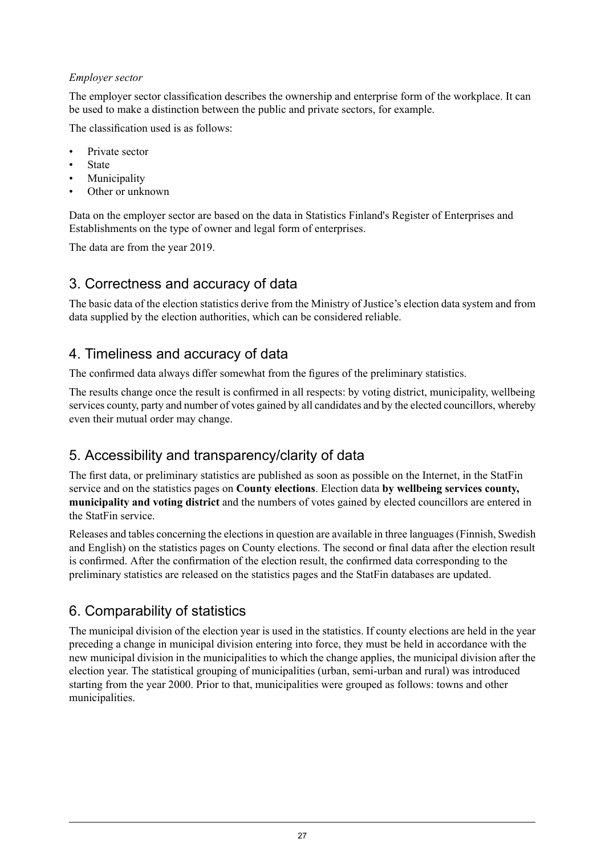#### *Employer sector*

The employer sector classification describes the ownership and enterprise form of the workplace. It can be used to make a distinction between the public and private sectors, for example.

The classification used is as follows:

- Private sector
- **State**
- **Municipality**
- Other or unknown

Data on the employer sector are based on the data in Statistics Finland's Register of Enterprises and Establishments on the type of owner and legal form of enterprises.

The data are from the year 2019.

### 3. Correctness and accuracy of data

The basic data of the election statistics derive from the Ministry of Justice's election data system and from data supplied by the election authorities, which can be considered reliable.

## 4. Timeliness and accuracy of data

The confirmed data always differ somewhat from the figures of the preliminary statistics.

The results change once the result is confirmed in all respects: by voting district, municipality, wellbeing services county, party and number of votes gained by all candidates and by the elected councillors, whereby even their mutual order may change.

### 5. Accessibility and transparency/clarity of data

The first data, or preliminary statistics are published as soon as possible on the Internet, in the StatFin service and on the statistics pages on **County elections**. Election data **by wellbeing services county, municipality and voting district** and the numbers of votes gained by elected councillors are entered in the StatFin service.

Releases and tables concerning the elections in question are available in three languages (Finnish, Swedish and English) on the statistics pages on County elections. The second or final data after the election result is confirmed. After the confirmation of the election result, the confirmed data corresponding to the preliminary statistics are released on the statistics pages and the StatFin databases are updated.

## 6. Comparability of statistics

The municipal division of the election year is used in the statistics. If county elections are held in the year preceding a change in municipal division entering into force, they must be held in accordance with the new municipal division in the municipalities to which the change applies, the municipal division after the election year. The statistical grouping of municipalities (urban, semi-urban and rural) was introduced starting from the year 2000. Prior to that, municipalities were grouped as follows: towns and other municipalities.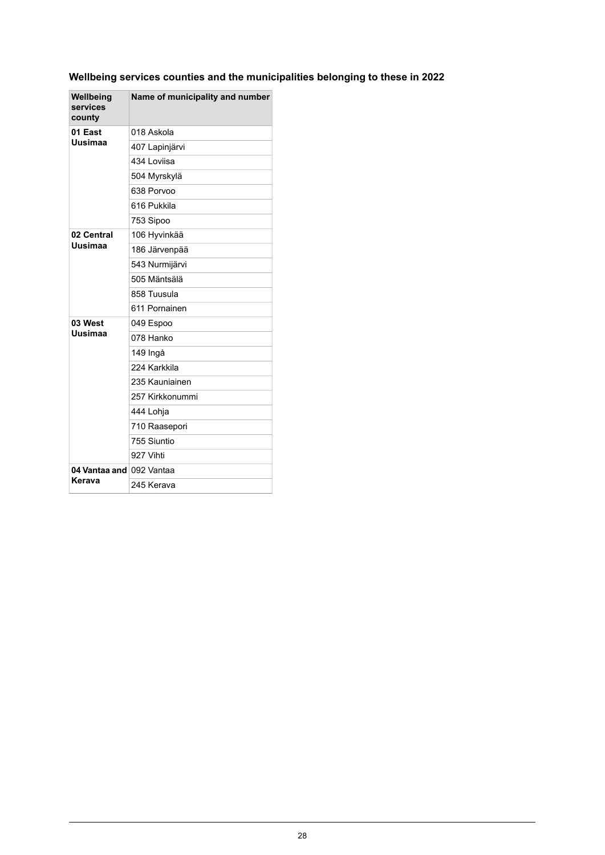### **Wellbeing services counties and the municipalities belonging to these in 2022**

| Wellbeing<br>services<br>county | Name of municipality and number |
|---------------------------------|---------------------------------|
| 01 East<br>Uusimaa              | 018 Askola                      |
|                                 | 407 Lapinjärvi                  |
|                                 | 434 Loviisa                     |
|                                 | 504 Myrskylä                    |
|                                 | 638 Porvoo                      |
|                                 | 616 Pukkila                     |
|                                 | 753 Sipoo                       |
| 02 Central                      | 106 Hyvinkää                    |
| Uusimaa                         | 186 Järvenpää                   |
|                                 | 543 Nurmijärvi                  |
|                                 | 505 Mäntsälä                    |
|                                 | 858 Tuusula                     |
|                                 | 611 Pornainen                   |
| 03 West                         | 049 Espoo                       |
| Uusimaa                         | 078 Hanko                       |
|                                 | 149 Ingå                        |
|                                 | 224 Karkkila                    |
|                                 | 235 Kauniainen                  |
|                                 | 257 Kirkkonummi                 |
|                                 | 444 Lohja                       |
|                                 | 710 Raasepori                   |
|                                 | 755 Siuntio                     |
|                                 | 927 Vihti                       |
| 04 Vantaa and 092 Vantaa        |                                 |
| Kerava                          | 245 Kerava                      |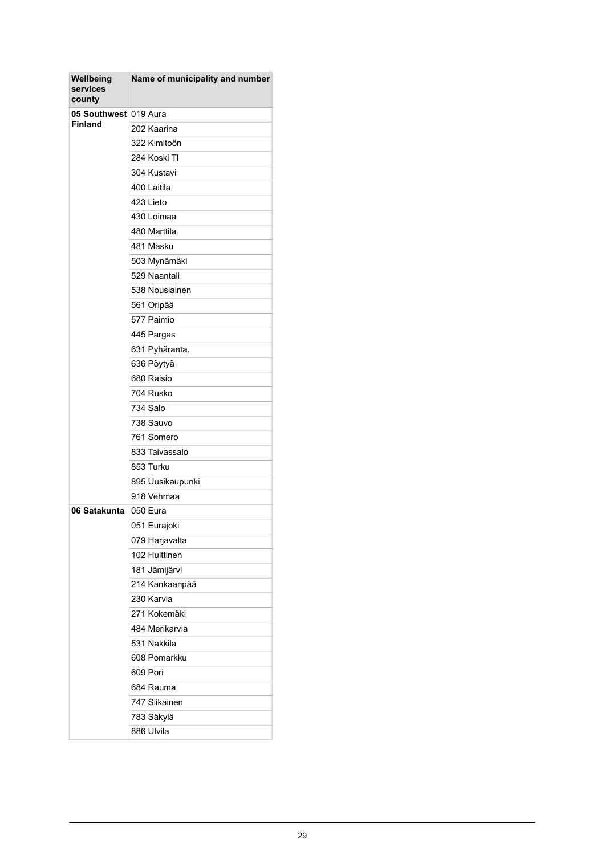| Wellbeing<br>services<br>county | Name of municipality and number |
|---------------------------------|---------------------------------|
| 05 Southwest 019 Aura           |                                 |
| <b>Finland</b>                  | 202 Kaarina                     |
|                                 | 322 Kimitoön                    |
|                                 | 284 Koski TI                    |
|                                 | 304 Kustavi                     |
|                                 | 400 Laitila                     |
|                                 | 423 Lieto                       |
|                                 | 430 Loimaa                      |
|                                 | 480 Marttila                    |
|                                 | 481 Masku                       |
|                                 | 503 Mynämäki                    |
|                                 | 529 Naantali                    |
|                                 | 538 Nousiainen                  |
|                                 | 561 Oripää                      |
|                                 | 577 Paimio                      |
|                                 | 445 Pargas                      |
|                                 | 631 Pyhäranta.                  |
|                                 | 636 Pöytyä                      |
|                                 | 680 Raisio                      |
|                                 | 704 Rusko                       |
|                                 | 734 Salo                        |
|                                 | 738 Sauvo                       |
|                                 | 761 Somero                      |
|                                 | 833 Taivassalo                  |
|                                 | 853 Turku                       |
|                                 | 895 Uusikaupunki                |
|                                 | 918 Vehmaa                      |
| 06 Satakunta                    | 050 Eura                        |
|                                 | 051 Eurajoki                    |
|                                 | 079 Harjavalta                  |
|                                 | 102 Huittinen                   |
|                                 | 181 Jämijärvi                   |
|                                 | 214 Kankaanpää                  |
|                                 | 230 Karvia                      |
|                                 | 271 Kokemäki                    |
|                                 | 484 Merikarvia                  |
|                                 | 531 Nakkila                     |
|                                 | 608 Pomarkku                    |
|                                 | 609 Pori                        |
|                                 | 684 Rauma                       |
|                                 | 747 Siikainen                   |
|                                 | 783 Säkylä                      |
|                                 | 886 Ulvila                      |
|                                 |                                 |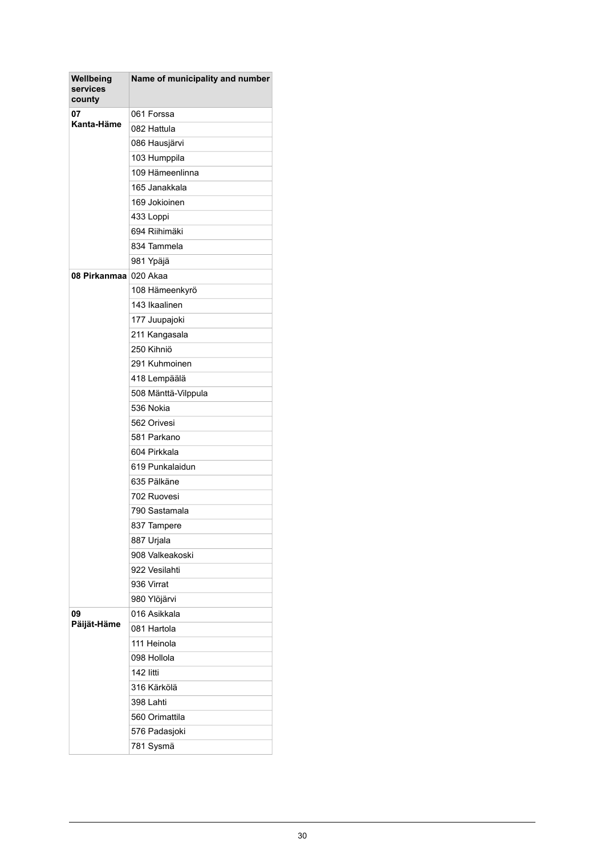| Wellbeing<br>services<br>county | Name of municipality and number |
|---------------------------------|---------------------------------|
| 07<br>Kanta-Häme                | 061 Forssa                      |
|                                 | 082 Hattula                     |
|                                 | 086 Hausjärvi                   |
|                                 | 103 Humppila                    |
|                                 | 109 Hämeenlinna                 |
|                                 | 165 Janakkala                   |
|                                 | 169 Jokioinen                   |
|                                 | 433 Loppi                       |
|                                 | 694 Riihimäki                   |
|                                 | 834 Tammela                     |
|                                 | 981 Ypäjä                       |
| 08 Pirkanmaa                    | 020 Akaa                        |
|                                 | 108 Hämeenkyrö                  |
|                                 | 143 Ikaalinen                   |
|                                 | 177 Juupajoki                   |
|                                 | 211 Kangasala                   |
|                                 | 250 Kihniö                      |
|                                 | 291 Kuhmoinen                   |
|                                 | 418 Lempäälä                    |
|                                 | 508 Mänttä-Vilppula             |
|                                 | 536 Nokia                       |
|                                 | 562 Orivesi                     |
|                                 | 581 Parkano                     |
|                                 | 604 Pirkkala                    |
|                                 | 619 Punkalaidun                 |
|                                 | 635 Pälkäne                     |
|                                 | 702 Ruovesi                     |
|                                 | 790 Sastamala                   |
|                                 | 837 Tampere                     |
|                                 | 887 Urjala                      |
|                                 | 908 Valkeakoski                 |
|                                 | 922 Vesilahti                   |
|                                 | 936 Virrat                      |
|                                 | 980 Ylöjärvi                    |
| 09                              | 016 Asikkala                    |
| Päijät-Häme                     | 081 Hartola                     |
|                                 | 111 Heinola                     |
|                                 | 098 Hollola                     |
|                                 | 142 litti                       |
|                                 | 316 Kärkölä                     |
|                                 | 398 Lahti                       |
|                                 | 560 Orimattila                  |
|                                 | 576 Padasjoki                   |
|                                 | 781 Sysmä                       |
|                                 |                                 |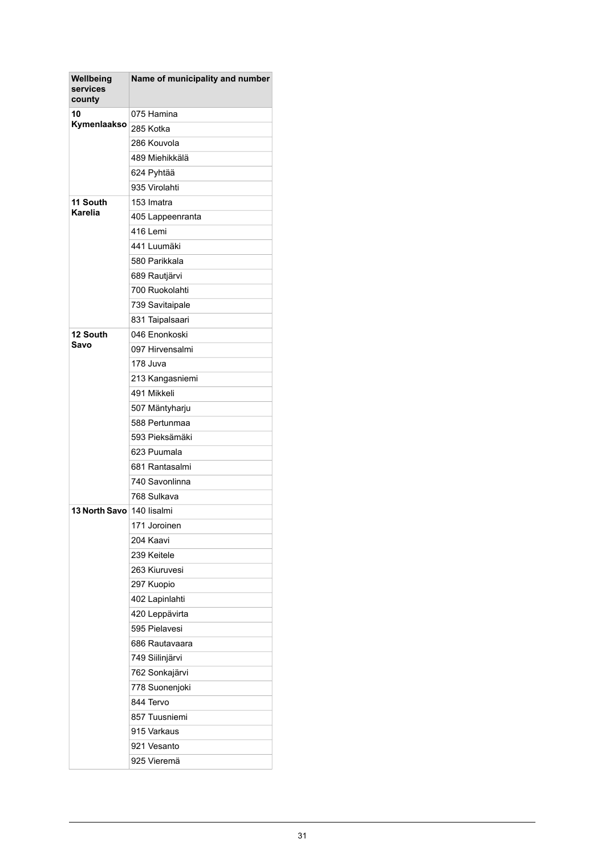| Wellbeing<br>services<br>county | Name of municipality and number |
|---------------------------------|---------------------------------|
| 10<br>Kymenlaakso               | 075 Hamina                      |
|                                 | 285 Kotka                       |
|                                 | 286 Kouvola                     |
|                                 | 489 Miehikkälä                  |
|                                 | 624 Pyhtää                      |
|                                 | 935 Virolahti                   |
| 11 South<br><b>Karelia</b>      | 153 Imatra                      |
|                                 | 405 Lappeenranta                |
|                                 | 416 Lemi                        |
|                                 | 441 Luumäki                     |
|                                 | 580 Parikkala                   |
|                                 | 689 Rautjärvi                   |
|                                 | 700 Ruokolahti                  |
|                                 | 739 Savitaipale                 |
|                                 | 831 Taipalsaari                 |
| 12 South                        | 046 Enonkoski                   |
| Savo                            | 097 Hirvensalmi                 |
|                                 | 178 Juva                        |
|                                 | 213 Kangasniemi                 |
|                                 | 491 Mikkeli                     |
|                                 | 507 Mäntyharju                  |
|                                 | 588 Pertunmaa                   |
|                                 | 593 Pieksämäki                  |
|                                 | 623 Puumala                     |
|                                 | 681 Rantasalmi                  |
|                                 | 740 Savonlinna                  |
|                                 | 768 Sulkava                     |
| <b>13 North Savo</b>            | 140 lisalmi                     |
|                                 | 171 Joroinen                    |
|                                 | 204 Kaavi                       |
|                                 | 239 Keitele                     |
|                                 | 263 Kiuruvesi                   |
|                                 | 297 Kuopio                      |
|                                 | 402 Lapinlahti                  |
|                                 | 420 Leppävirta                  |
|                                 | 595 Pielavesi                   |
|                                 | 686 Rautavaara                  |
|                                 | 749 Siilinjärvi                 |
|                                 | 762 Sonkajärvi                  |
|                                 | 778 Suonenjoki                  |
|                                 | 844 Tervo                       |
|                                 | 857 Tuusniemi                   |
|                                 | 915 Varkaus                     |
|                                 | 921 Vesanto                     |
|                                 | 925 Vieremä                     |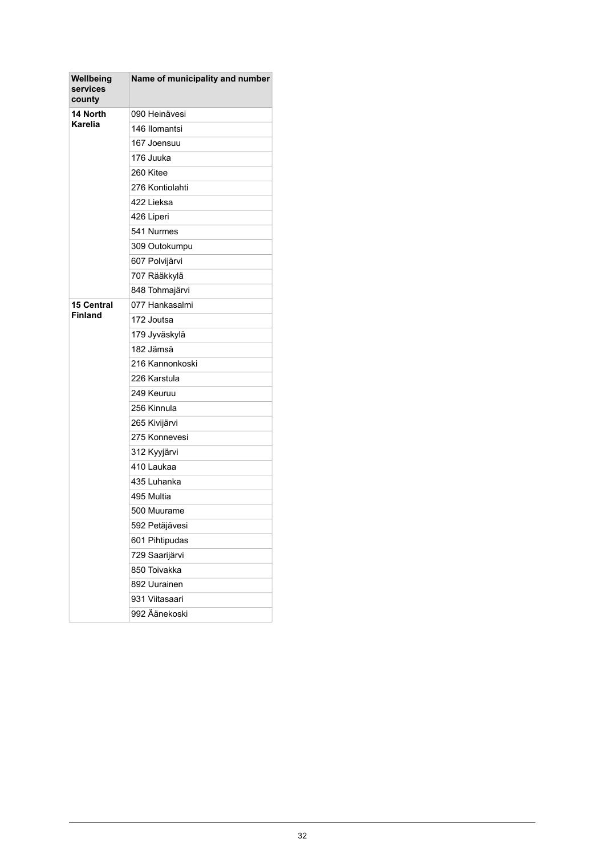| Wellbeing<br>services<br>county | Name of municipality and number |
|---------------------------------|---------------------------------|
| 14 North<br><b>Karelia</b>      | 090 Heinävesi                   |
|                                 | 146 Ilomantsi                   |
|                                 | 167 Joensuu                     |
|                                 | 176 Juuka                       |
|                                 | 260 Kitee                       |
|                                 | 276 Kontiolahti                 |
|                                 | 422 Lieksa                      |
|                                 | 426 Liperi                      |
|                                 | 541 Nurmes                      |
|                                 | 309 Outokumpu                   |
|                                 | 607 Polvijärvi                  |
|                                 | 707 Rääkkylä                    |
|                                 | 848 Tohmajärvi                  |
| <b>15 Central</b>               | 077 Hankasalmi                  |
| <b>Finland</b>                  | 172 Joutsa                      |
|                                 | 179 Jyväskylä                   |
|                                 | 182 Jämsä                       |
|                                 | 216 Kannonkoski                 |
|                                 | 226 Karstula                    |
|                                 | 249 Keuruu                      |
|                                 | 256 Kinnula                     |
|                                 | 265 Kivijärvi                   |
|                                 | 275 Konnevesi                   |
|                                 | 312 Kyyjärvi                    |
|                                 | 410 Laukaa                      |
|                                 | 435 Luhanka                     |
|                                 | 495 Multia                      |
|                                 | 500 Muurame                     |
|                                 | 592 Petäjävesi                  |
|                                 | 601 Pihtipudas                  |
|                                 | 729 Saarijärvi                  |
|                                 | 850 Toivakka                    |
|                                 | 892 Uurainen                    |
|                                 | 931 Viitasaari                  |
|                                 | 992 Äänekoski                   |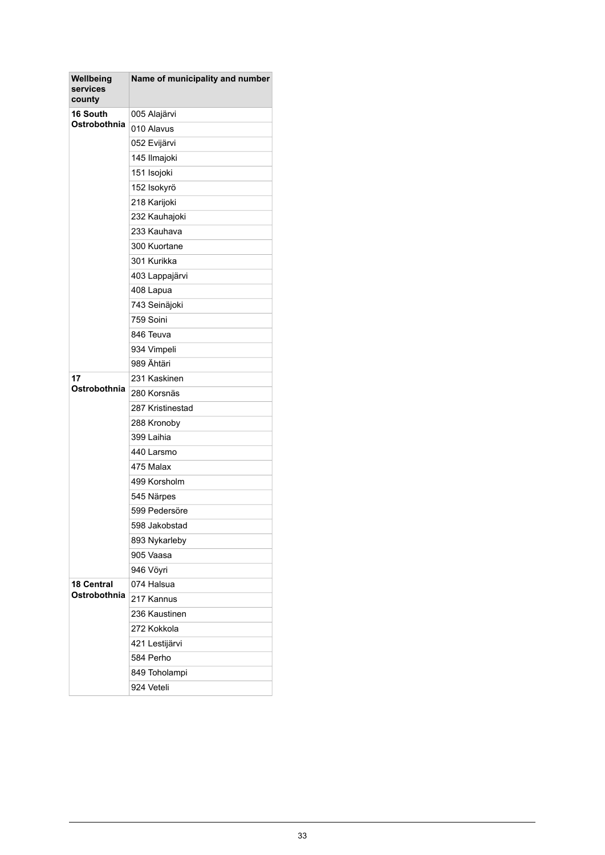| Wellbeing<br>services<br>county | Name of municipality and number |
|---------------------------------|---------------------------------|
| 16 South<br>Ostrobothnia        | 005 Alajärvi                    |
|                                 | 010 Alavus                      |
|                                 | 052 Evijärvi                    |
|                                 | 145 Ilmajoki                    |
|                                 | 151 Isojoki                     |
|                                 | 152 Isokyrö                     |
|                                 | 218 Karijoki                    |
|                                 | 232 Kauhajoki                   |
|                                 | 233 Kauhava                     |
|                                 | 300 Kuortane                    |
|                                 | 301 Kurikka                     |
|                                 | 403 Lappajärvi                  |
|                                 | 408 Lapua                       |
|                                 | 743 Seinäjoki                   |
|                                 | 759 Soini                       |
|                                 | 846 Teuva                       |
|                                 | 934 Vimpeli                     |
|                                 | 989 Ähtäri                      |
| 17                              | 231 Kaskinen                    |
| Ostrobothnia                    | 280 Korsnäs                     |
|                                 | 287 Kristinestad                |
|                                 | 288 Kronoby                     |
|                                 | 399 Laihia                      |
|                                 | 440 Larsmo                      |
|                                 | 475 Malax                       |
|                                 | 499 Korsholm                    |
|                                 | 545 Närpes                      |
|                                 | 599 Pedersöre                   |
|                                 | 598 Jakobstad                   |
|                                 | 893 Nykarleby                   |
|                                 | 905 Vaasa                       |
|                                 | 946 Vöyri                       |
| <b>18 Central</b>               | 074 Halsua                      |
| Ostrobothnia                    | 217 Kannus                      |
|                                 | 236 Kaustinen                   |
|                                 | 272 Kokkola                     |
|                                 | 421 Lestijärvi                  |
|                                 | 584 Perho                       |
|                                 | 849 Toholampi                   |
|                                 | 924 Veteli                      |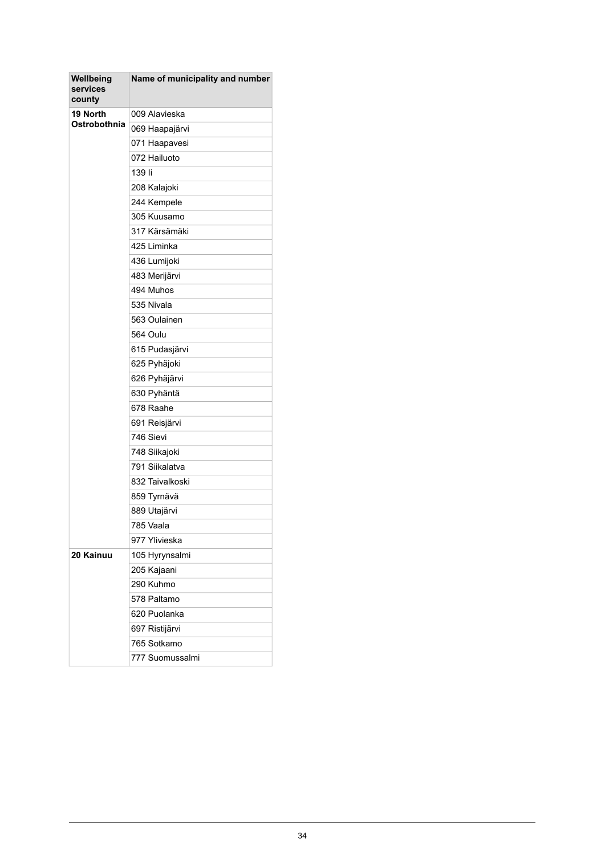| Wellbeing<br>services<br>county | Name of municipality and number |
|---------------------------------|---------------------------------|
| 19 North                        | 009 Alavieska                   |
| Ostrobothnia                    | 069 Haapajärvi                  |
|                                 | 071 Haapavesi                   |
|                                 | 072 Hailuoto                    |
|                                 | 139 li                          |
|                                 | 208 Kalajoki                    |
|                                 | 244 Kempele                     |
|                                 | 305 Kuusamo                     |
|                                 | 317 Kärsämäki                   |
|                                 | 425 Liminka                     |
|                                 | 436 Lumijoki                    |
|                                 | 483 Merijärvi                   |
|                                 | 494 Muhos                       |
|                                 | 535 Nivala                      |
|                                 | 563 Oulainen                    |
|                                 | 564 Oulu                        |
|                                 | 615 Pudasjärvi                  |
|                                 | 625 Pyhäjoki                    |
|                                 | 626 Pyhäjärvi                   |
|                                 | 630 Pyhäntä                     |
|                                 | 678 Raahe                       |
|                                 | 691 Reisjärvi                   |
|                                 | 746 Sievi                       |
|                                 | 748 Siikajoki                   |
|                                 | 791 Siikalatva                  |
|                                 | 832 Taivalkoski                 |
|                                 | 859 Tyrnävä                     |
|                                 | 889 Utajärvi                    |
|                                 | 785 Vaala                       |
|                                 | 977 Ylivieska                   |
| 20 Kainuu                       | 105 Hyrynsalmi                  |
|                                 | 205 Kajaani                     |
|                                 | 290 Kuhmo                       |
|                                 | 578 Paltamo                     |
|                                 | 620 Puolanka                    |
|                                 | 697 Ristijärvi                  |
|                                 | 765 Sotkamo                     |
|                                 | 777 Suomussalmi                 |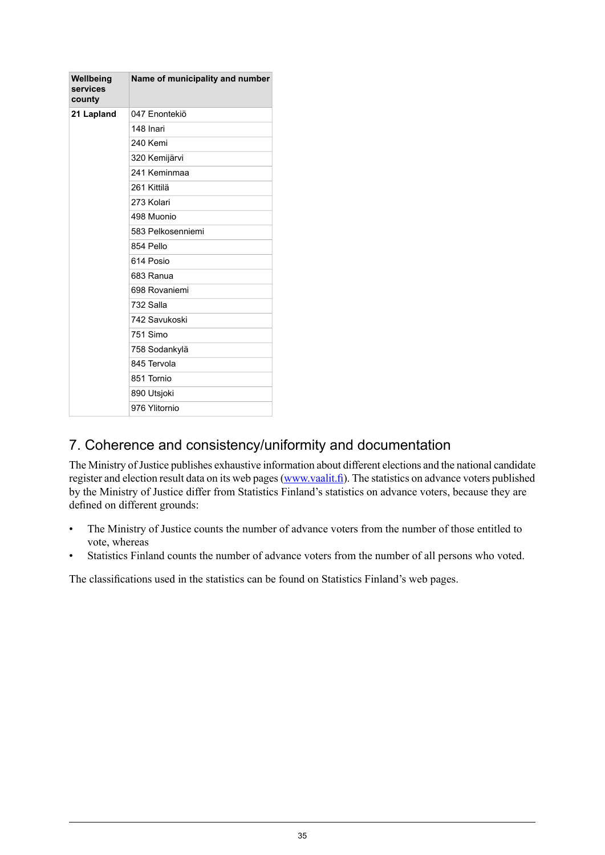| Wellbeing<br>services<br>county | Name of municipality and number |
|---------------------------------|---------------------------------|
| 21 Lapland                      | 047 Enontekiö                   |
|                                 | 148 Inari                       |
|                                 | 240 Kemi                        |
|                                 | 320 Kemijärvi                   |
|                                 | 241 Keminmaa                    |
|                                 | 261 Kittilä                     |
|                                 | 273 Kolari                      |
|                                 | 498 Muonio                      |
|                                 | 583 Pelkosenniemi               |
|                                 | 854 Pello                       |
|                                 | 614 Posio                       |
|                                 | 683 Ranua                       |
|                                 | 698 Rovaniemi                   |
|                                 | 732 Salla                       |
|                                 | 742 Savukoski                   |
|                                 | 751 Simo                        |
|                                 | 758 Sodankylä                   |
|                                 | 845 Tervola                     |
|                                 | 851 Tornio                      |
|                                 | 890 Utsjoki                     |
|                                 | 976 Ylitornio                   |

## 7. Coherence and consistency/uniformity and documentation

The Ministry of Justice publishes exhaustive information about different elections and the national candidate register and election result data on its web pages([www.vaalit.fi](http://www.vaalit.fi)). The statistics on advance voters published by the Ministry of Justice differ from Statistics Finland's statistics on advance voters, because they are defined on different grounds:

- The Ministry of Justice counts the number of advance voters from the number of those entitled to vote, whereas
- Statistics Finland counts the number of advance voters from the number of all persons who voted.

The classifications used in the statistics can be found on Statistics Finland's web pages.